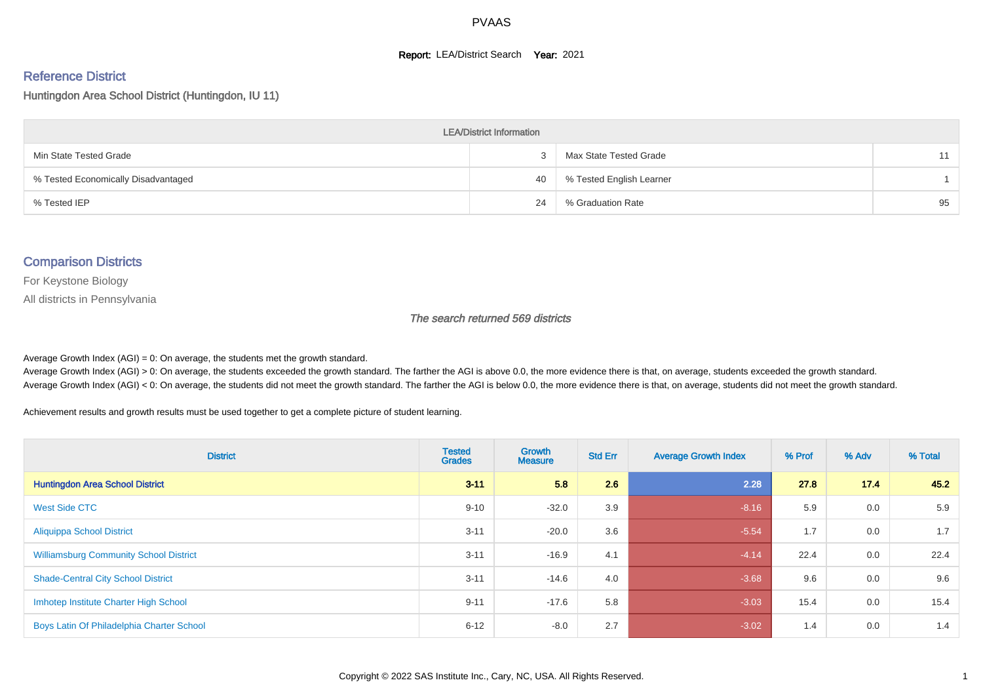#### **Report: LEA/District Search Year: 2021**

#### Reference District

Huntingdon Area School District (Huntingdon, IU 11)

| <b>LEA/District Information</b>     |    |                          |    |  |  |  |  |  |  |  |
|-------------------------------------|----|--------------------------|----|--|--|--|--|--|--|--|
| Min State Tested Grade              |    | Max State Tested Grade   | 11 |  |  |  |  |  |  |  |
| % Tested Economically Disadvantaged | 40 | % Tested English Learner |    |  |  |  |  |  |  |  |
| % Tested IEP                        | 24 | % Graduation Rate        | 95 |  |  |  |  |  |  |  |

#### Comparison Districts

For Keystone Biology

All districts in Pennsylvania

The search returned 569 districts

Average Growth Index  $(AGI) = 0$ : On average, the students met the growth standard.

Average Growth Index (AGI) > 0: On average, the students exceeded the growth standard. The farther the AGI is above 0.0, the more evidence there is that, on average, students exceeded the growth standard. Average Growth Index (AGI) < 0: On average, the students did not meet the growth standard. The farther the AGI is below 0.0, the more evidence there is that, on average, students did not meet the growth standard.

Achievement results and growth results must be used together to get a complete picture of student learning.

| <b>District</b>                               | <b>Tested</b><br><b>Grades</b> | Growth<br><b>Measure</b> | <b>Std Err</b> | <b>Average Growth Index</b> | % Prof | % Adv | % Total |
|-----------------------------------------------|--------------------------------|--------------------------|----------------|-----------------------------|--------|-------|---------|
| <b>Huntingdon Area School District</b>        | $3 - 11$                       | 5.8                      | 2.6            | 2.28                        | 27.8   | 17.4  | 45.2    |
| West Side CTC                                 | $9 - 10$                       | $-32.0$                  | 3.9            | $-8.16$                     | 5.9    | 0.0   | 5.9     |
| <b>Aliquippa School District</b>              | $3 - 11$                       | $-20.0$                  | 3.6            | $-5.54$                     | 1.7    | 0.0   | 1.7     |
| <b>Williamsburg Community School District</b> | $3 - 11$                       | $-16.9$                  | 4.1            | $-4.14$                     | 22.4   | 0.0   | 22.4    |
| <b>Shade-Central City School District</b>     | $3 - 11$                       | $-14.6$                  | 4.0            | $-3.68$                     | 9.6    | 0.0   | 9.6     |
| Imhotep Institute Charter High School         | $9 - 11$                       | $-17.6$                  | 5.8            | $-3.03$                     | 15.4   | 0.0   | 15.4    |
| Boys Latin Of Philadelphia Charter School     | $6 - 12$                       | $-8.0$                   | 2.7            | $-3.02$                     | 1.4    | 0.0   | 1.4     |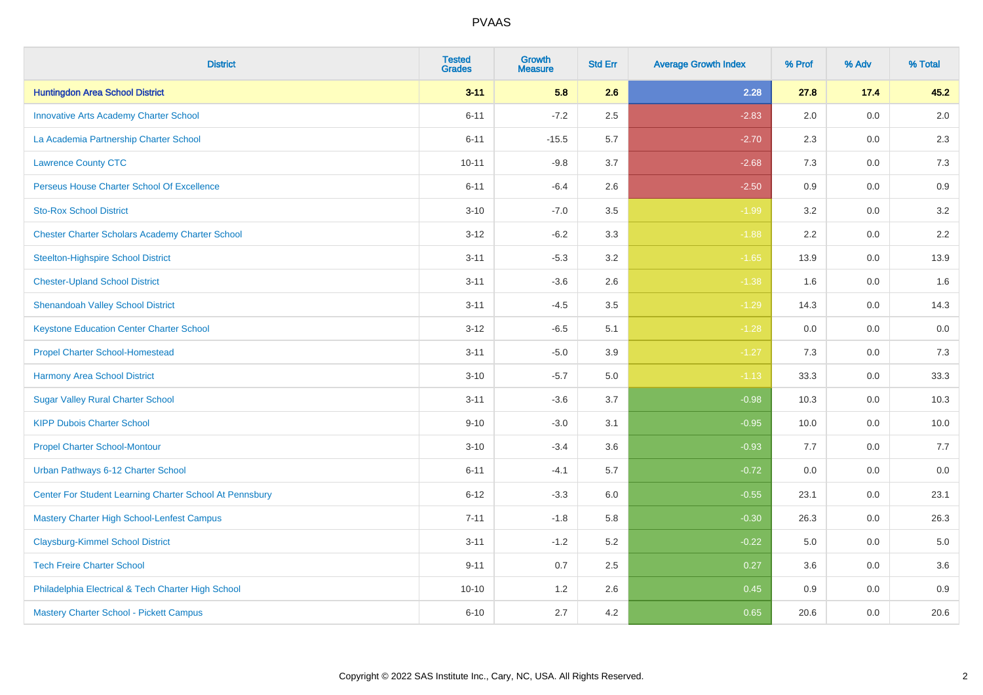| <b>District</b>                                         | <b>Tested</b><br><b>Grades</b> | <b>Growth</b><br><b>Measure</b> | <b>Std Err</b> | <b>Average Growth Index</b> | % Prof | % Adv   | % Total |
|---------------------------------------------------------|--------------------------------|---------------------------------|----------------|-----------------------------|--------|---------|---------|
| <b>Huntingdon Area School District</b>                  | $3 - 11$                       | 5.8                             | 2.6            | 2.28                        | 27.8   | 17.4    | 45.2    |
| <b>Innovative Arts Academy Charter School</b>           | $6 - 11$                       | $-7.2$                          | 2.5            | $-2.83$                     | 2.0    | 0.0     | $2.0\,$ |
| La Academia Partnership Charter School                  | $6 - 11$                       | $-15.5$                         | 5.7            | $-2.70$                     | 2.3    | 0.0     | 2.3     |
| <b>Lawrence County CTC</b>                              | $10 - 11$                      | $-9.8$                          | 3.7            | $-2.68$                     | 7.3    | 0.0     | 7.3     |
| Perseus House Charter School Of Excellence              | $6 - 11$                       | $-6.4$                          | 2.6            | $-2.50$                     | 0.9    | 0.0     | 0.9     |
| <b>Sto-Rox School District</b>                          | $3 - 10$                       | $-7.0$                          | 3.5            | $-1.99$                     | 3.2    | 0.0     | 3.2     |
| <b>Chester Charter Scholars Academy Charter School</b>  | $3 - 12$                       | $-6.2$                          | 3.3            | $-1.88$                     | 2.2    | 0.0     | 2.2     |
| <b>Steelton-Highspire School District</b>               | $3 - 11$                       | $-5.3$                          | 3.2            | $-1.65$                     | 13.9   | 0.0     | 13.9    |
| <b>Chester-Upland School District</b>                   | $3 - 11$                       | $-3.6$                          | 2.6            | $-1.38$                     | 1.6    | 0.0     | 1.6     |
| <b>Shenandoah Valley School District</b>                | $3 - 11$                       | $-4.5$                          | 3.5            | $-1.29$                     | 14.3   | 0.0     | 14.3    |
| <b>Keystone Education Center Charter School</b>         | $3 - 12$                       | $-6.5$                          | 5.1            | $-1.28$                     | 0.0    | 0.0     | 0.0     |
| <b>Propel Charter School-Homestead</b>                  | $3 - 11$                       | $-5.0$                          | 3.9            | $-1.27$                     | 7.3    | 0.0     | 7.3     |
| <b>Harmony Area School District</b>                     | $3 - 10$                       | $-5.7$                          | $5.0\,$        | $-1.13$                     | 33.3   | 0.0     | 33.3    |
| <b>Sugar Valley Rural Charter School</b>                | $3 - 11$                       | $-3.6$                          | 3.7            | $-0.98$                     | 10.3   | 0.0     | 10.3    |
| <b>KIPP Dubois Charter School</b>                       | $9 - 10$                       | $-3.0$                          | 3.1            | $-0.95$                     | 10.0   | 0.0     | 10.0    |
| <b>Propel Charter School-Montour</b>                    | $3 - 10$                       | $-3.4$                          | 3.6            | $-0.93$                     | 7.7    | $0.0\,$ | 7.7     |
| Urban Pathways 6-12 Charter School                      | $6 - 11$                       | $-4.1$                          | 5.7            | $-0.72$                     | 0.0    | 0.0     | 0.0     |
| Center For Student Learning Charter School At Pennsbury | $6 - 12$                       | $-3.3$                          | 6.0            | $-0.55$                     | 23.1   | 0.0     | 23.1    |
| <b>Mastery Charter High School-Lenfest Campus</b>       | $7 - 11$                       | $-1.8$                          | 5.8            | $-0.30$                     | 26.3   | 0.0     | 26.3    |
| <b>Claysburg-Kimmel School District</b>                 | $3 - 11$                       | $-1.2$                          | 5.2            | $-0.22$                     | 5.0    | 0.0     | 5.0     |
| <b>Tech Freire Charter School</b>                       | $9 - 11$                       | 0.7                             | 2.5            | 0.27                        | 3.6    | 0.0     | 3.6     |
| Philadelphia Electrical & Tech Charter High School      | $10 - 10$                      | 1.2                             | 2.6            | 0.45                        | 0.9    | 0.0     | 0.9     |
| Mastery Charter School - Pickett Campus                 | $6 - 10$                       | 2.7                             | 4.2            | 0.65                        | 20.6   | 0.0     | 20.6    |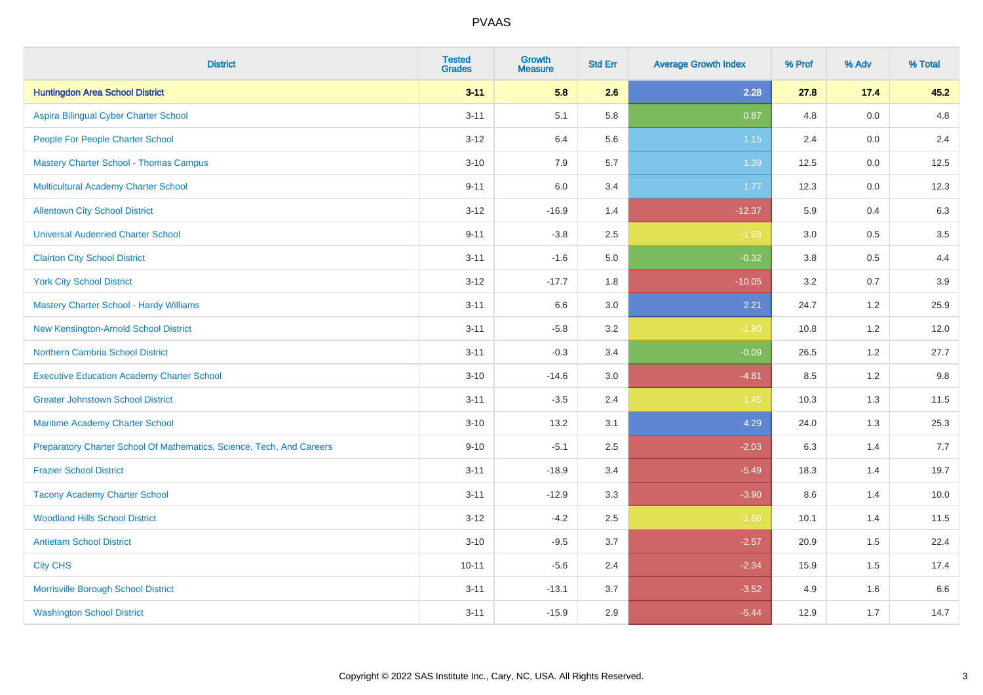| <b>District</b>                                                       | <b>Tested</b><br><b>Grades</b> | <b>Growth</b><br><b>Measure</b> | <b>Std Err</b> | <b>Average Growth Index</b> | % Prof | % Adv   | % Total |
|-----------------------------------------------------------------------|--------------------------------|---------------------------------|----------------|-----------------------------|--------|---------|---------|
| <b>Huntingdon Area School District</b>                                | $3 - 11$                       | 5.8                             | 2.6            | 2.28                        | 27.8   | 17.4    | 45.2    |
| Aspira Bilingual Cyber Charter School                                 | $3 - 11$                       | 5.1                             | 5.8            | 0.87                        | 4.8    | 0.0     | 4.8     |
| People For People Charter School                                      | $3 - 12$                       | 6.4                             | 5.6            | 1.15                        | 2.4    | 0.0     | 2.4     |
| <b>Mastery Charter School - Thomas Campus</b>                         | $3 - 10$                       | 7.9                             | 5.7            | 1.39                        | 12.5   | 0.0     | 12.5    |
| <b>Multicultural Academy Charter School</b>                           | $9 - 11$                       | 6.0                             | 3.4            | 1.77                        | 12.3   | 0.0     | 12.3    |
| <b>Allentown City School District</b>                                 | $3 - 12$                       | $-16.9$                         | 1.4            | $-12.37$                    | 5.9    | 0.4     | 6.3     |
| <b>Universal Audenried Charter School</b>                             | $9 - 11$                       | $-3.8$                          | 2.5            | $-1.53$                     | 3.0    | $0.5\,$ | 3.5     |
| <b>Clairton City School District</b>                                  | $3 - 11$                       | $-1.6$                          | 5.0            | $-0.32$                     | 3.8    | 0.5     | 4.4     |
| <b>York City School District</b>                                      | $3 - 12$                       | $-17.7$                         | 1.8            | $-10.05$                    | 3.2    | 0.7     | 3.9     |
| <b>Mastery Charter School - Hardy Williams</b>                        | $3 - 11$                       | 6.6                             | 3.0            | 2.21                        | 24.7   | 1.2     | 25.9    |
| New Kensington-Arnold School District                                 | $3 - 11$                       | $-5.8$                          | 3.2            | $-1.80$                     | 10.8   | 1.2     | 12.0    |
| <b>Northern Cambria School District</b>                               | $3 - 11$                       | $-0.3$                          | 3.4            | $-0.09$                     | 26.5   | 1.2     | 27.7    |
| <b>Executive Education Academy Charter School</b>                     | $3 - 10$                       | $-14.6$                         | 3.0            | $-4.81$                     | 8.5    | $1.2\,$ | 9.8     |
| <b>Greater Johnstown School District</b>                              | $3 - 11$                       | $-3.5$                          | 2.4            | $-1.45$                     | 10.3   | 1.3     | 11.5    |
| Maritime Academy Charter School                                       | $3 - 10$                       | 13.2                            | 3.1            | 4.29                        | 24.0   | 1.3     | 25.3    |
| Preparatory Charter School Of Mathematics, Science, Tech, And Careers | $9 - 10$                       | $-5.1$                          | 2.5            | $-2.03$                     | 6.3    | 1.4     | 7.7     |
| <b>Frazier School District</b>                                        | $3 - 11$                       | $-18.9$                         | 3.4            | $-5.49$                     | 18.3   | 1.4     | 19.7    |
| <b>Tacony Academy Charter School</b>                                  | $3 - 11$                       | $-12.9$                         | 3.3            | $-3.90$                     | 8.6    | 1.4     | 10.0    |
| <b>Woodland Hills School District</b>                                 | $3 - 12$                       | $-4.2$                          | 2.5            | $-1.66$                     | 10.1   | 1.4     | 11.5    |
| <b>Antietam School District</b>                                       | $3 - 10$                       | $-9.5$                          | 3.7            | $-2.57$                     | 20.9   | 1.5     | 22.4    |
| <b>City CHS</b>                                                       | $10 - 11$                      | $-5.6$                          | 2.4            | $-2.34$                     | 15.9   | 1.5     | 17.4    |
| Morrisville Borough School District                                   | $3 - 11$                       | $-13.1$                         | 3.7            | $-3.52$                     | 4.9    | 1.6     | 6.6     |
| <b>Washington School District</b>                                     | $3 - 11$                       | $-15.9$                         | 2.9            | $-5.44$                     | 12.9   | 1.7     | 14.7    |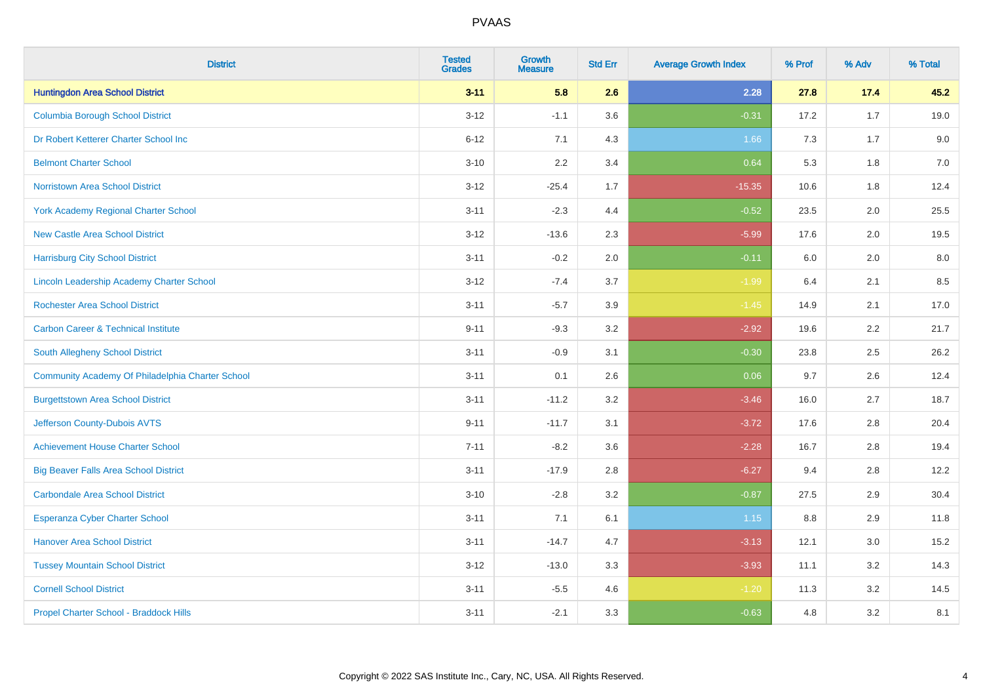| <b>District</b>                                  | <b>Tested</b><br><b>Grades</b> | <b>Growth</b><br><b>Measure</b> | <b>Std Err</b> | <b>Average Growth Index</b> | % Prof | % Adv   | % Total |
|--------------------------------------------------|--------------------------------|---------------------------------|----------------|-----------------------------|--------|---------|---------|
| <b>Huntingdon Area School District</b>           | $3 - 11$                       | 5.8                             | 2.6            | 2.28                        | 27.8   | 17.4    | 45.2    |
| <b>Columbia Borough School District</b>          | $3 - 12$                       | $-1.1$                          | 3.6            | $-0.31$                     | 17.2   | 1.7     | 19.0    |
| Dr Robert Ketterer Charter School Inc            | $6 - 12$                       | 7.1                             | 4.3            | 1.66                        | 7.3    | 1.7     | 9.0     |
| <b>Belmont Charter School</b>                    | $3 - 10$                       | 2.2                             | 3.4            | 0.64                        | 5.3    | 1.8     | $7.0$   |
| <b>Norristown Area School District</b>           | $3 - 12$                       | $-25.4$                         | 1.7            | $-15.35$                    | 10.6   | 1.8     | 12.4    |
| <b>York Academy Regional Charter School</b>      | $3 - 11$                       | $-2.3$                          | 4.4            | $-0.52$                     | 23.5   | 2.0     | 25.5    |
| <b>New Castle Area School District</b>           | $3 - 12$                       | $-13.6$                         | 2.3            | $-5.99$                     | 17.6   | 2.0     | 19.5    |
| <b>Harrisburg City School District</b>           | $3 - 11$                       | $-0.2$                          | 2.0            | $-0.11$                     | 6.0    | 2.0     | 8.0     |
| Lincoln Leadership Academy Charter School        | $3 - 12$                       | $-7.4$                          | 3.7            | $-1.99$                     | 6.4    | 2.1     | 8.5     |
| <b>Rochester Area School District</b>            | $3 - 11$                       | $-5.7$                          | 3.9            | $-1.45$                     | 14.9   | 2.1     | 17.0    |
| <b>Carbon Career &amp; Technical Institute</b>   | $9 - 11$                       | $-9.3$                          | 3.2            | $-2.92$                     | 19.6   | 2.2     | 21.7    |
| South Allegheny School District                  | $3 - 11$                       | $-0.9$                          | 3.1            | $-0.30$                     | 23.8   | 2.5     | 26.2    |
| Community Academy Of Philadelphia Charter School | $3 - 11$                       | 0.1                             | 2.6            | 0.06                        | 9.7    | $2.6\,$ | 12.4    |
| <b>Burgettstown Area School District</b>         | $3 - 11$                       | $-11.2$                         | 3.2            | $-3.46$                     | 16.0   | 2.7     | 18.7    |
| Jefferson County-Dubois AVTS                     | $9 - 11$                       | $-11.7$                         | 3.1            | $-3.72$                     | 17.6   | 2.8     | 20.4    |
| <b>Achievement House Charter School</b>          | $7 - 11$                       | $-8.2$                          | 3.6            | $-2.28$                     | 16.7   | 2.8     | 19.4    |
| <b>Big Beaver Falls Area School District</b>     | $3 - 11$                       | $-17.9$                         | 2.8            | $-6.27$                     | 9.4    | 2.8     | 12.2    |
| <b>Carbondale Area School District</b>           | $3 - 10$                       | $-2.8$                          | 3.2            | $-0.87$                     | 27.5   | 2.9     | 30.4    |
| <b>Esperanza Cyber Charter School</b>            | $3 - 11$                       | 7.1                             | 6.1            | 1.15                        | 8.8    | 2.9     | 11.8    |
| <b>Hanover Area School District</b>              | $3 - 11$                       | $-14.7$                         | 4.7            | $-3.13$                     | 12.1   | 3.0     | 15.2    |
| <b>Tussey Mountain School District</b>           | $3 - 12$                       | $-13.0$                         | 3.3            | $-3.93$                     | 11.1   | 3.2     | 14.3    |
| <b>Cornell School District</b>                   | $3 - 11$                       | $-5.5$                          | 4.6            | $-1.20$                     | 11.3   | 3.2     | 14.5    |
| Propel Charter School - Braddock Hills           | $3 - 11$                       | $-2.1$                          | 3.3            | $-0.63$                     | 4.8    | 3.2     | 8.1     |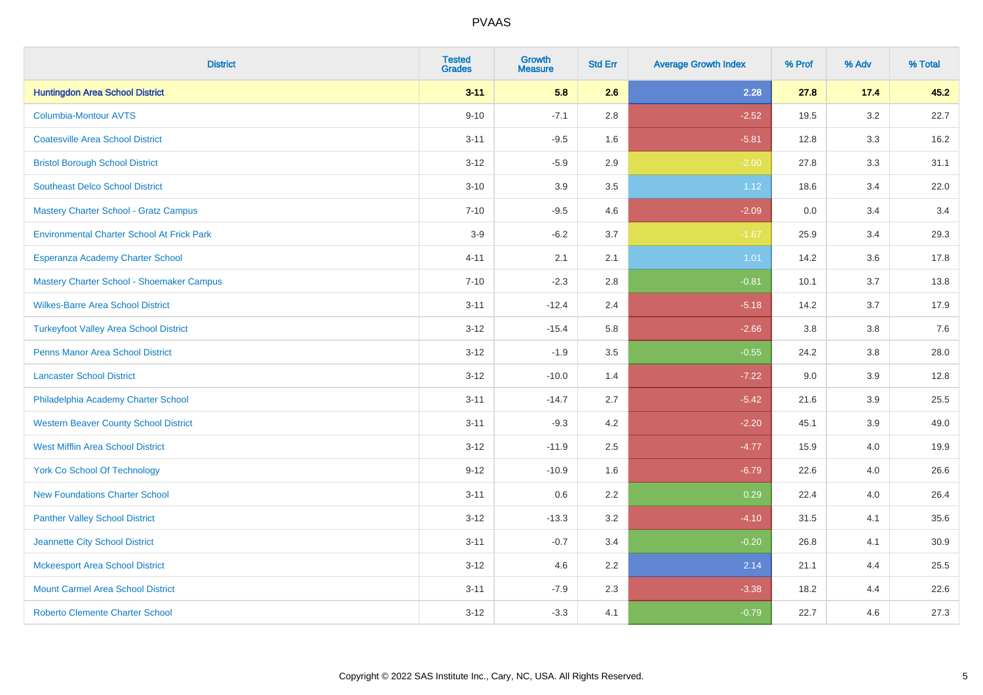| <b>District</b>                                   | <b>Tested</b><br><b>Grades</b> | <b>Growth</b><br><b>Measure</b> | <b>Std Err</b> | <b>Average Growth Index</b> | % Prof | % Adv   | % Total |
|---------------------------------------------------|--------------------------------|---------------------------------|----------------|-----------------------------|--------|---------|---------|
| <b>Huntingdon Area School District</b>            | $3 - 11$                       | 5.8                             | 2.6            | 2.28                        | 27.8   | 17.4    | 45.2    |
| <b>Columbia-Montour AVTS</b>                      | $9 - 10$                       | $-7.1$                          | 2.8            | $-2.52$                     | 19.5   | $3.2\,$ | 22.7    |
| <b>Coatesville Area School District</b>           | $3 - 11$                       | $-9.5$                          | 1.6            | $-5.81$                     | 12.8   | 3.3     | 16.2    |
| <b>Bristol Borough School District</b>            | $3 - 12$                       | $-5.9$                          | 2.9            | $-2.00$                     | 27.8   | 3.3     | 31.1    |
| <b>Southeast Delco School District</b>            | $3 - 10$                       | 3.9                             | 3.5            | 1.12                        | 18.6   | 3.4     | 22.0    |
| <b>Mastery Charter School - Gratz Campus</b>      | $7 - 10$                       | $-9.5$                          | 4.6            | $-2.09$                     | 0.0    | 3.4     | 3.4     |
| <b>Environmental Charter School At Frick Park</b> | $3-9$                          | $-6.2$                          | 3.7            | $-1.67$                     | 25.9   | 3.4     | 29.3    |
| Esperanza Academy Charter School                  | $4 - 11$                       | 2.1                             | 2.1            | 1.01                        | 14.2   | 3.6     | 17.8    |
| Mastery Charter School - Shoemaker Campus         | $7 - 10$                       | $-2.3$                          | 2.8            | $-0.81$                     | 10.1   | 3.7     | 13.8    |
| <b>Wilkes-Barre Area School District</b>          | $3 - 11$                       | $-12.4$                         | 2.4            | $-5.18$                     | 14.2   | 3.7     | 17.9    |
| <b>Turkeyfoot Valley Area School District</b>     | $3 - 12$                       | $-15.4$                         | 5.8            | $-2.66$                     | 3.8    | 3.8     | 7.6     |
| Penns Manor Area School District                  | $3 - 12$                       | $-1.9$                          | 3.5            | $-0.55$                     | 24.2   | 3.8     | 28.0    |
| <b>Lancaster School District</b>                  | $3 - 12$                       | $-10.0$                         | 1.4            | $-7.22$                     | 9.0    | 3.9     | 12.8    |
| Philadelphia Academy Charter School               | $3 - 11$                       | $-14.7$                         | 2.7            | $-5.42$                     | 21.6   | 3.9     | 25.5    |
| <b>Western Beaver County School District</b>      | $3 - 11$                       | $-9.3$                          | 4.2            | $-2.20$                     | 45.1   | 3.9     | 49.0    |
| <b>West Mifflin Area School District</b>          | $3 - 12$                       | $-11.9$                         | 2.5            | $-4.77$                     | 15.9   | 4.0     | 19.9    |
| <b>York Co School Of Technology</b>               | $9 - 12$                       | $-10.9$                         | 1.6            | $-6.79$                     | 22.6   | 4.0     | 26.6    |
| <b>New Foundations Charter School</b>             | $3 - 11$                       | 0.6                             | 2.2            | 0.29                        | 22.4   | 4.0     | 26.4    |
| <b>Panther Valley School District</b>             | $3 - 12$                       | $-13.3$                         | 3.2            | $-4.10$                     | 31.5   | 4.1     | 35.6    |
| Jeannette City School District                    | $3 - 11$                       | $-0.7$                          | 3.4            | $-0.20$                     | 26.8   | 4.1     | 30.9    |
| <b>Mckeesport Area School District</b>            | $3 - 12$                       | 4.6                             | 2.2            | 2.14                        | 21.1   | 4.4     | 25.5    |
| <b>Mount Carmel Area School District</b>          | $3 - 11$                       | $-7.9$                          | 2.3            | $-3.38$                     | 18.2   | 4.4     | 22.6    |
| <b>Roberto Clemente Charter School</b>            | $3 - 12$                       | $-3.3$                          | 4.1            | $-0.79$                     | 22.7   | 4.6     | 27.3    |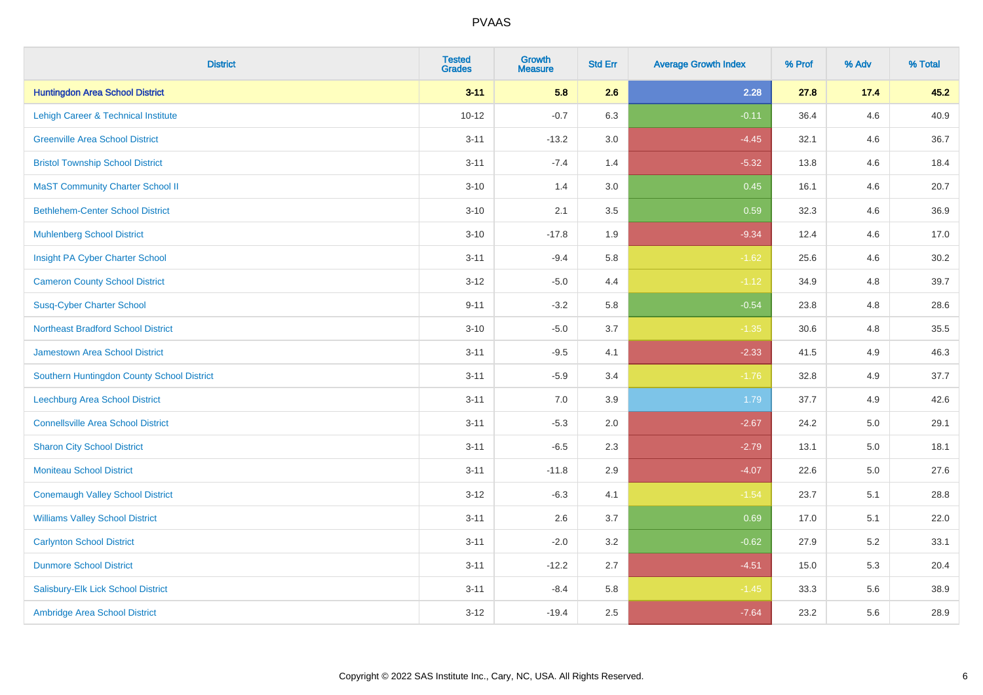| <b>District</b>                            | <b>Tested</b><br><b>Grades</b> | <b>Growth</b><br><b>Measure</b> | <b>Std Err</b> | <b>Average Growth Index</b> | % Prof | % Adv   | % Total |
|--------------------------------------------|--------------------------------|---------------------------------|----------------|-----------------------------|--------|---------|---------|
| <b>Huntingdon Area School District</b>     | $3 - 11$                       | 5.8                             | 2.6            | 2.28                        | 27.8   | 17.4    | 45.2    |
| Lehigh Career & Technical Institute        | $10 - 12$                      | $-0.7$                          | 6.3            | $-0.11$                     | 36.4   | 4.6     | 40.9    |
| <b>Greenville Area School District</b>     | $3 - 11$                       | $-13.2$                         | 3.0            | $-4.45$                     | 32.1   | 4.6     | 36.7    |
| <b>Bristol Township School District</b>    | $3 - 11$                       | $-7.4$                          | 1.4            | $-5.32$                     | 13.8   | 4.6     | 18.4    |
| <b>MaST Community Charter School II</b>    | $3 - 10$                       | 1.4                             | 3.0            | 0.45                        | 16.1   | 4.6     | 20.7    |
| <b>Bethlehem-Center School District</b>    | $3 - 10$                       | 2.1                             | 3.5            | 0.59                        | 32.3   | 4.6     | 36.9    |
| <b>Muhlenberg School District</b>          | $3 - 10$                       | $-17.8$                         | 1.9            | $-9.34$                     | 12.4   | 4.6     | 17.0    |
| Insight PA Cyber Charter School            | $3 - 11$                       | $-9.4$                          | 5.8            | $-1.62$                     | 25.6   | 4.6     | 30.2    |
| <b>Cameron County School District</b>      | $3 - 12$                       | $-5.0$                          | 4.4            | $-1.12$                     | 34.9   | 4.8     | 39.7    |
| <b>Susq-Cyber Charter School</b>           | $9 - 11$                       | $-3.2$                          | 5.8            | $-0.54$                     | 23.8   | 4.8     | 28.6    |
| <b>Northeast Bradford School District</b>  | $3 - 10$                       | $-5.0$                          | 3.7            | $-1.35$                     | 30.6   | 4.8     | 35.5    |
| Jamestown Area School District             | $3 - 11$                       | $-9.5$                          | 4.1            | $-2.33$                     | 41.5   | 4.9     | 46.3    |
| Southern Huntingdon County School District | $3 - 11$                       | $-5.9$                          | 3.4            | $-1.76$                     | 32.8   | 4.9     | 37.7    |
| <b>Leechburg Area School District</b>      | $3 - 11$                       | 7.0                             | 3.9            | 1.79                        | 37.7   | 4.9     | 42.6    |
| <b>Connellsville Area School District</b>  | $3 - 11$                       | $-5.3$                          | 2.0            | $-2.67$                     | 24.2   | 5.0     | 29.1    |
| <b>Sharon City School District</b>         | $3 - 11$                       | $-6.5$                          | 2.3            | $-2.79$                     | 13.1   | $5.0\,$ | 18.1    |
| <b>Moniteau School District</b>            | $3 - 11$                       | $-11.8$                         | 2.9            | $-4.07$                     | 22.6   | 5.0     | 27.6    |
| <b>Conemaugh Valley School District</b>    | $3 - 12$                       | $-6.3$                          | 4.1            | $-1.54$                     | 23.7   | 5.1     | 28.8    |
| <b>Williams Valley School District</b>     | $3 - 11$                       | 2.6                             | 3.7            | 0.69                        | 17.0   | 5.1     | 22.0    |
| <b>Carlynton School District</b>           | $3 - 11$                       | $-2.0$                          | 3.2            | $-0.62$                     | 27.9   | 5.2     | 33.1    |
| <b>Dunmore School District</b>             | $3 - 11$                       | $-12.2$                         | 2.7            | $-4.51$                     | 15.0   | 5.3     | 20.4    |
| Salisbury-Elk Lick School District         | $3 - 11$                       | $-8.4$                          | 5.8            | $-1.45$                     | 33.3   | 5.6     | 38.9    |
| Ambridge Area School District              | $3 - 12$                       | $-19.4$                         | 2.5            | $-7.64$                     | 23.2   | 5.6     | 28.9    |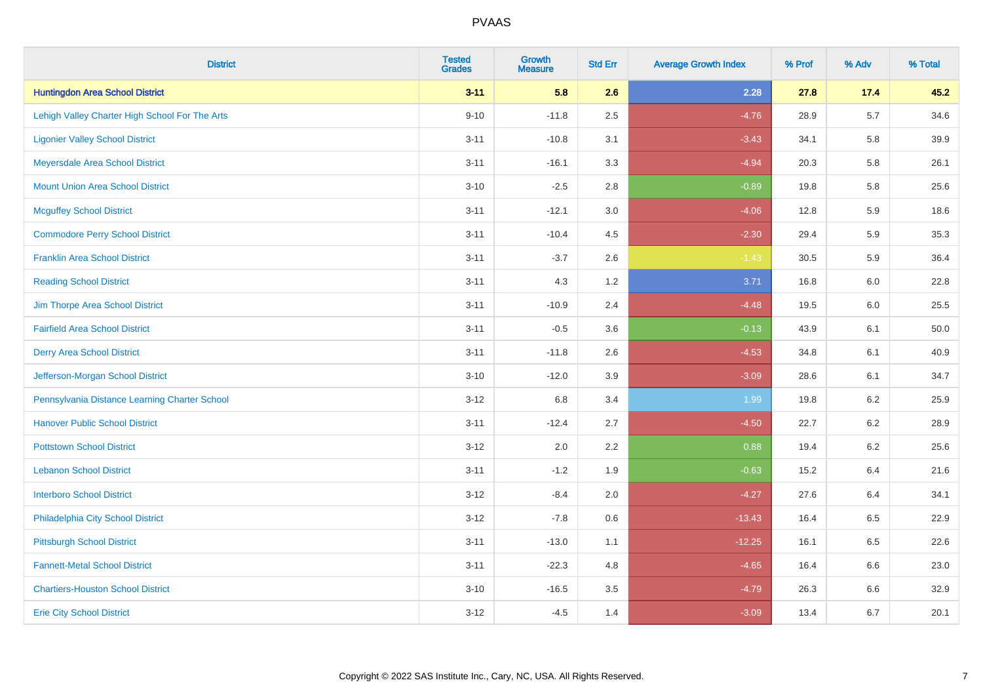| <b>District</b>                                | <b>Tested</b><br><b>Grades</b> | <b>Growth</b><br><b>Measure</b> | <b>Std Err</b> | <b>Average Growth Index</b> | % Prof | % Adv   | % Total |
|------------------------------------------------|--------------------------------|---------------------------------|----------------|-----------------------------|--------|---------|---------|
| <b>Huntingdon Area School District</b>         | $3 - 11$                       | 5.8                             | 2.6            | 2.28                        | 27.8   | 17.4    | 45.2    |
| Lehigh Valley Charter High School For The Arts | $9 - 10$                       | $-11.8$                         | 2.5            | $-4.76$                     | 28.9   | $5.7\,$ | 34.6    |
| <b>Ligonier Valley School District</b>         | $3 - 11$                       | $-10.8$                         | 3.1            | $-3.43$                     | 34.1   | 5.8     | 39.9    |
| Meyersdale Area School District                | $3 - 11$                       | $-16.1$                         | 3.3            | $-4.94$                     | 20.3   | 5.8     | 26.1    |
| <b>Mount Union Area School District</b>        | $3 - 10$                       | $-2.5$                          | 2.8            | $-0.89$                     | 19.8   | 5.8     | 25.6    |
| <b>Mcguffey School District</b>                | $3 - 11$                       | $-12.1$                         | 3.0            | $-4.06$                     | 12.8   | 5.9     | 18.6    |
| <b>Commodore Perry School District</b>         | $3 - 11$                       | $-10.4$                         | 4.5            | $-2.30$                     | 29.4   | 5.9     | 35.3    |
| <b>Franklin Area School District</b>           | $3 - 11$                       | $-3.7$                          | 2.6            | $-1.43$                     | 30.5   | 5.9     | 36.4    |
| <b>Reading School District</b>                 | $3 - 11$                       | 4.3                             | 1.2            | 3.71                        | 16.8   | 6.0     | 22.8    |
| Jim Thorpe Area School District                | $3 - 11$                       | $-10.9$                         | 2.4            | $-4.48$                     | 19.5   | 6.0     | 25.5    |
| <b>Fairfield Area School District</b>          | $3 - 11$                       | $-0.5$                          | 3.6            | $-0.13$                     | 43.9   | 6.1     | 50.0    |
| <b>Derry Area School District</b>              | $3 - 11$                       | $-11.8$                         | 2.6            | $-4.53$                     | 34.8   | 6.1     | 40.9    |
| Jefferson-Morgan School District               | $3 - 10$                       | $-12.0$                         | 3.9            | $-3.09$                     | 28.6   | 6.1     | 34.7    |
| Pennsylvania Distance Learning Charter School  | $3 - 12$                       | 6.8                             | 3.4            | 1.99                        | 19.8   | 6.2     | 25.9    |
| <b>Hanover Public School District</b>          | $3 - 11$                       | $-12.4$                         | 2.7            | $-4.50$                     | 22.7   | 6.2     | 28.9    |
| <b>Pottstown School District</b>               | $3 - 12$                       | 2.0                             | 2.2            | 0.88                        | 19.4   | $6.2\,$ | 25.6    |
| <b>Lebanon School District</b>                 | $3 - 11$                       | $-1.2$                          | 1.9            | $-0.63$                     | 15.2   | 6.4     | 21.6    |
| <b>Interboro School District</b>               | $3 - 12$                       | $-8.4$                          | 2.0            | $-4.27$                     | 27.6   | 6.4     | 34.1    |
| Philadelphia City School District              | $3-12$                         | $-7.8$                          | 0.6            | $-13.43$                    | 16.4   | 6.5     | 22.9    |
| <b>Pittsburgh School District</b>              | $3 - 11$                       | $-13.0$                         | 1.1            | $-12.25$                    | 16.1   | 6.5     | 22.6    |
| <b>Fannett-Metal School District</b>           | $3 - 11$                       | $-22.3$                         | 4.8            | $-4.65$                     | 16.4   | 6.6     | 23.0    |
| <b>Chartiers-Houston School District</b>       | $3 - 10$                       | $-16.5$                         | 3.5            | $-4.79$                     | 26.3   | 6.6     | 32.9    |
| <b>Erie City School District</b>               | $3 - 12$                       | $-4.5$                          | 1.4            | $-3.09$                     | 13.4   | 6.7     | 20.1    |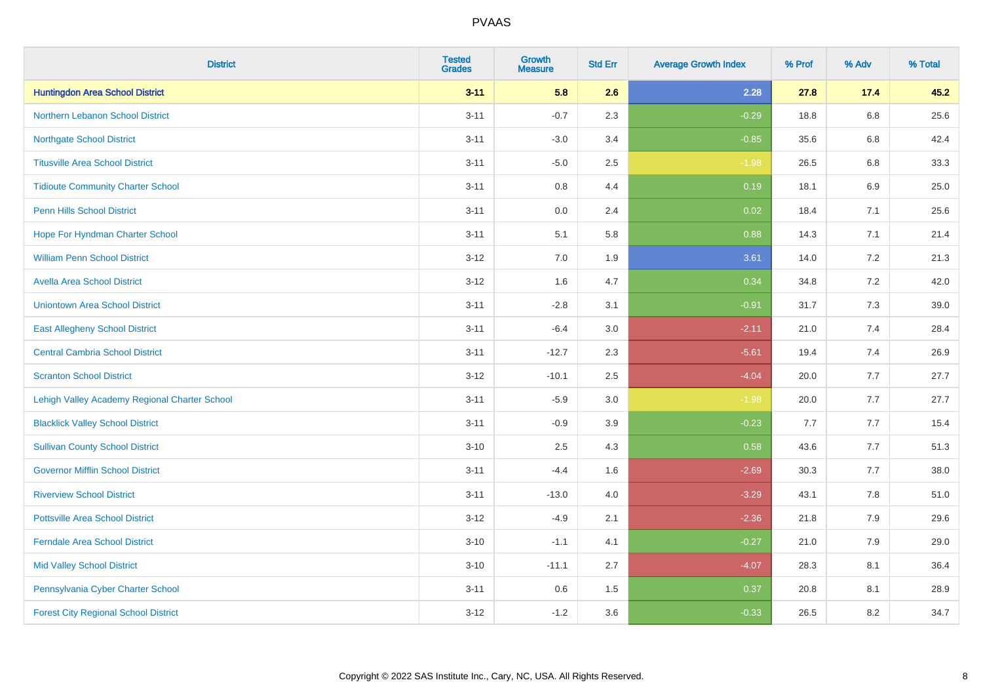| <b>District</b>                               | <b>Tested</b><br><b>Grades</b> | <b>Growth</b><br><b>Measure</b> | <b>Std Err</b> | <b>Average Growth Index</b> | % Prof | % Adv   | % Total |
|-----------------------------------------------|--------------------------------|---------------------------------|----------------|-----------------------------|--------|---------|---------|
| <b>Huntingdon Area School District</b>        | $3 - 11$                       | 5.8                             | 2.6            | 2.28                        | 27.8   | 17.4    | 45.2    |
| <b>Northern Lebanon School District</b>       | $3 - 11$                       | $-0.7$                          | 2.3            | $-0.29$                     | 18.8   | $6.8\,$ | 25.6    |
| <b>Northgate School District</b>              | $3 - 11$                       | $-3.0$                          | 3.4            | $-0.85$                     | 35.6   | $6.8\,$ | 42.4    |
| <b>Titusville Area School District</b>        | $3 - 11$                       | $-5.0$                          | 2.5            | $-1.98$                     | 26.5   | 6.8     | 33.3    |
| <b>Tidioute Community Charter School</b>      | $3 - 11$                       | 0.8                             | 4.4            | 0.19                        | 18.1   | 6.9     | 25.0    |
| <b>Penn Hills School District</b>             | $3 - 11$                       | 0.0                             | 2.4            | 0.02                        | 18.4   | 7.1     | 25.6    |
| Hope For Hyndman Charter School               | $3 - 11$                       | 5.1                             | 5.8            | 0.88                        | 14.3   | 7.1     | 21.4    |
| <b>William Penn School District</b>           | $3 - 12$                       | 7.0                             | 1.9            | 3.61                        | 14.0   | 7.2     | 21.3    |
| <b>Avella Area School District</b>            | $3 - 12$                       | 1.6                             | 4.7            | 0.34                        | 34.8   | 7.2     | 42.0    |
| <b>Uniontown Area School District</b>         | $3 - 11$                       | $-2.8$                          | 3.1            | $-0.91$                     | 31.7   | 7.3     | 39.0    |
| <b>East Allegheny School District</b>         | $3 - 11$                       | $-6.4$                          | 3.0            | $-2.11$                     | 21.0   | 7.4     | 28.4    |
| <b>Central Cambria School District</b>        | $3 - 11$                       | $-12.7$                         | 2.3            | $-5.61$                     | 19.4   | 7.4     | 26.9    |
| <b>Scranton School District</b>               | $3 - 12$                       | $-10.1$                         | 2.5            | $-4.04$                     | 20.0   | $7.7\,$ | 27.7    |
| Lehigh Valley Academy Regional Charter School | $3 - 11$                       | $-5.9$                          | $3.0\,$        | $-1.98$                     | 20.0   | $7.7$   | 27.7    |
| <b>Blacklick Valley School District</b>       | $3 - 11$                       | $-0.9$                          | 3.9            | $-0.23$                     | 7.7    | 7.7     | 15.4    |
| <b>Sullivan County School District</b>        | $3 - 10$                       | 2.5                             | 4.3            | 0.58                        | 43.6   | $7.7$   | 51.3    |
| <b>Governor Mifflin School District</b>       | $3 - 11$                       | $-4.4$                          | 1.6            | $-2.69$                     | 30.3   | 7.7     | 38.0    |
| <b>Riverview School District</b>              | $3 - 11$                       | $-13.0$                         | 4.0            | $-3.29$                     | 43.1   | 7.8     | 51.0    |
| <b>Pottsville Area School District</b>        | $3 - 12$                       | $-4.9$                          | 2.1            | $-2.36$                     | 21.8   | 7.9     | 29.6    |
| <b>Ferndale Area School District</b>          | $3 - 10$                       | $-1.1$                          | 4.1            | $-0.27$                     | 21.0   | 7.9     | 29.0    |
| <b>Mid Valley School District</b>             | $3 - 10$                       | $-11.1$                         | 2.7            | $-4.07$                     | 28.3   | 8.1     | 36.4    |
| Pennsylvania Cyber Charter School             | $3 - 11$                       | 0.6                             | 1.5            | 0.37                        | 20.8   | 8.1     | 28.9    |
| <b>Forest City Regional School District</b>   | $3 - 12$                       | $-1.2$                          | 3.6            | $-0.33$                     | 26.5   | 8.2     | 34.7    |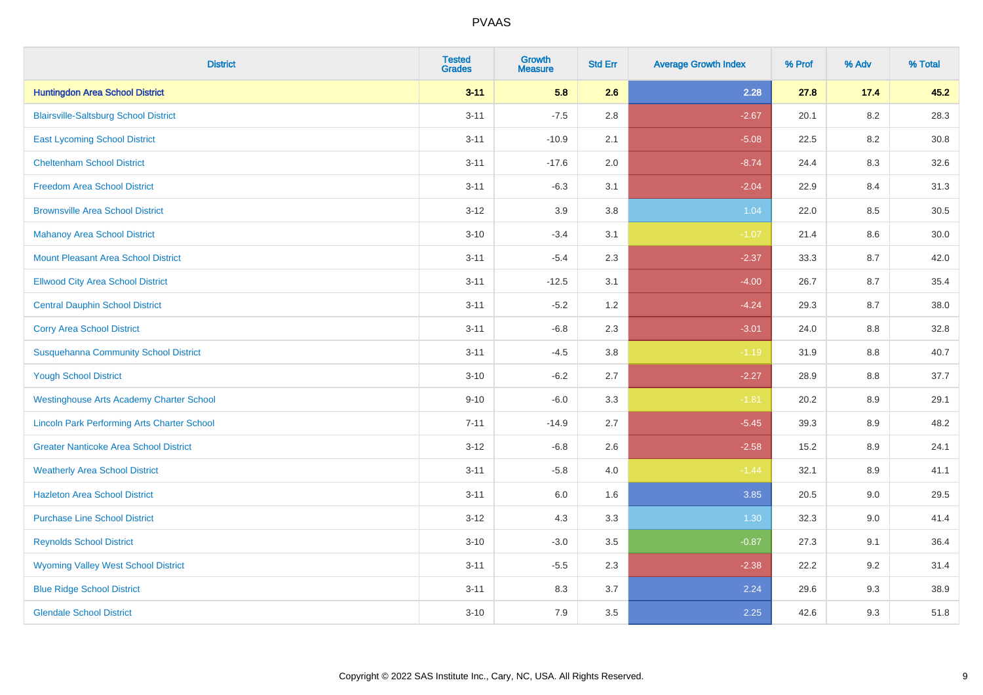| <b>District</b>                                    | <b>Tested</b><br><b>Grades</b> | <b>Growth</b><br><b>Measure</b> | <b>Std Err</b> | <b>Average Growth Index</b> | % Prof | % Adv   | % Total |
|----------------------------------------------------|--------------------------------|---------------------------------|----------------|-----------------------------|--------|---------|---------|
| <b>Huntingdon Area School District</b>             | $3 - 11$                       | 5.8                             | 2.6            | 2.28                        | 27.8   | 17.4    | 45.2    |
| <b>Blairsville-Saltsburg School District</b>       | $3 - 11$                       | $-7.5$                          | 2.8            | $-2.67$                     | 20.1   | $8.2\,$ | 28.3    |
| <b>East Lycoming School District</b>               | $3 - 11$                       | $-10.9$                         | 2.1            | $-5.08$                     | 22.5   | 8.2     | 30.8    |
| <b>Cheltenham School District</b>                  | $3 - 11$                       | $-17.6$                         | 2.0            | $-8.74$                     | 24.4   | 8.3     | 32.6    |
| <b>Freedom Area School District</b>                | $3 - 11$                       | $-6.3$                          | 3.1            | $-2.04$                     | 22.9   | 8.4     | 31.3    |
| <b>Brownsville Area School District</b>            | $3-12$                         | 3.9                             | 3.8            | 1.04                        | 22.0   | 8.5     | 30.5    |
| <b>Mahanoy Area School District</b>                | $3 - 10$                       | $-3.4$                          | 3.1            | $-1.07$                     | 21.4   | 8.6     | 30.0    |
| <b>Mount Pleasant Area School District</b>         | $3 - 11$                       | $-5.4$                          | 2.3            | $-2.37$                     | 33.3   | 8.7     | 42.0    |
| <b>Ellwood City Area School District</b>           | $3 - 11$                       | $-12.5$                         | 3.1            | $-4.00$                     | 26.7   | 8.7     | 35.4    |
| <b>Central Dauphin School District</b>             | $3 - 11$                       | $-5.2$                          | 1.2            | $-4.24$                     | 29.3   | 8.7     | 38.0    |
| <b>Corry Area School District</b>                  | $3 - 11$                       | $-6.8$                          | 2.3            | $-3.01$                     | 24.0   | 8.8     | 32.8    |
| <b>Susquehanna Community School District</b>       | $3 - 11$                       | $-4.5$                          | 3.8            | $-1.19$                     | 31.9   | $8.8\,$ | 40.7    |
| <b>Yough School District</b>                       | $3 - 10$                       | $-6.2$                          | 2.7            | $-2.27$                     | 28.9   | $8.8\,$ | 37.7    |
| <b>Westinghouse Arts Academy Charter School</b>    | $9 - 10$                       | $-6.0$                          | 3.3            | $-1.81$                     | 20.2   | 8.9     | 29.1    |
| <b>Lincoln Park Performing Arts Charter School</b> | $7 - 11$                       | $-14.9$                         | 2.7            | $-5.45$                     | 39.3   | 8.9     | 48.2    |
| <b>Greater Nanticoke Area School District</b>      | $3 - 12$                       | $-6.8$                          | 2.6            | $-2.58$                     | 15.2   | 8.9     | 24.1    |
| <b>Weatherly Area School District</b>              | $3 - 11$                       | $-5.8$                          | 4.0            | $-1.44$                     | 32.1   | 8.9     | 41.1    |
| <b>Hazleton Area School District</b>               | $3 - 11$                       | 6.0                             | 1.6            | 3.85                        | 20.5   | 9.0     | 29.5    |
| <b>Purchase Line School District</b>               | $3 - 12$                       | 4.3                             | 3.3            | 1.30                        | 32.3   | $9.0\,$ | 41.4    |
| <b>Reynolds School District</b>                    | $3 - 10$                       | $-3.0$                          | 3.5            | $-0.87$                     | 27.3   | 9.1     | 36.4    |
| <b>Wyoming Valley West School District</b>         | $3 - 11$                       | $-5.5$                          | 2.3            | $-2.38$                     | 22.2   | 9.2     | 31.4    |
| <b>Blue Ridge School District</b>                  | $3 - 11$                       | 8.3                             | 3.7            | 2.24                        | 29.6   | 9.3     | 38.9    |
| <b>Glendale School District</b>                    | $3 - 10$                       | 7.9                             | 3.5            | 2.25                        | 42.6   | 9.3     | 51.8    |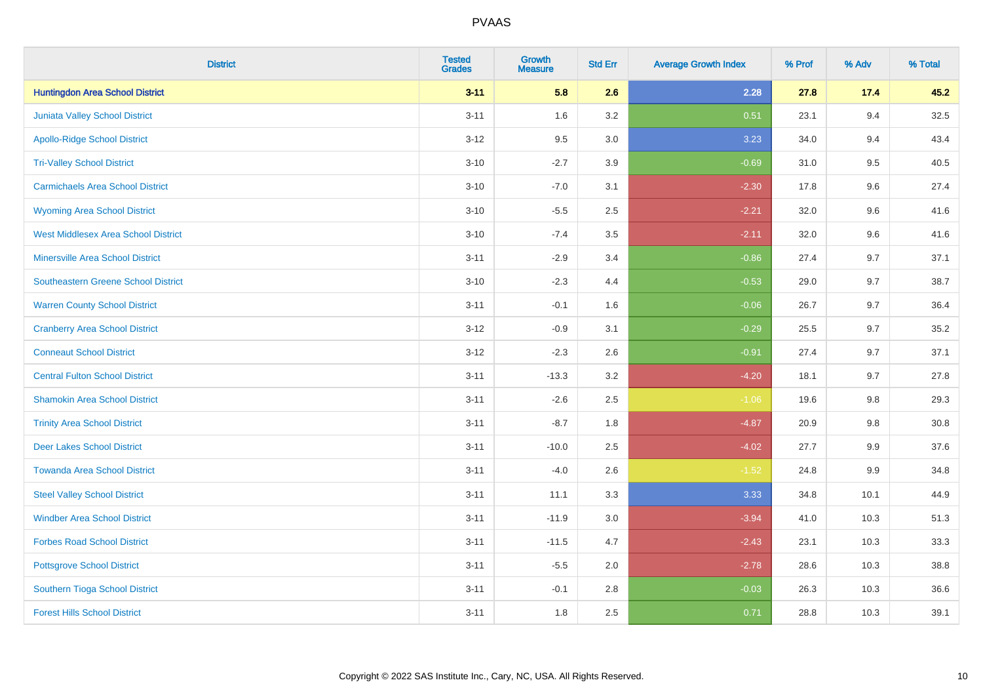| <b>District</b>                            | <b>Tested</b><br><b>Grades</b> | <b>Growth</b><br><b>Measure</b> | <b>Std Err</b> | <b>Average Growth Index</b> | % Prof | % Adv   | % Total |
|--------------------------------------------|--------------------------------|---------------------------------|----------------|-----------------------------|--------|---------|---------|
| <b>Huntingdon Area School District</b>     | $3 - 11$                       | 5.8                             | 2.6            | 2.28                        | 27.8   | 17.4    | 45.2    |
| <b>Juniata Valley School District</b>      | $3 - 11$                       | 1.6                             | 3.2            | 0.51                        | 23.1   | 9.4     | 32.5    |
| <b>Apollo-Ridge School District</b>        | $3 - 12$                       | 9.5                             | 3.0            | 3.23                        | 34.0   | 9.4     | 43.4    |
| <b>Tri-Valley School District</b>          | $3 - 10$                       | $-2.7$                          | 3.9            | $-0.69$                     | 31.0   | 9.5     | 40.5    |
| <b>Carmichaels Area School District</b>    | $3 - 10$                       | $-7.0$                          | 3.1            | $-2.30$                     | 17.8   | 9.6     | 27.4    |
| <b>Wyoming Area School District</b>        | $3 - 10$                       | $-5.5$                          | 2.5            | $-2.21$                     | 32.0   | 9.6     | 41.6    |
| <b>West Middlesex Area School District</b> | $3 - 10$                       | $-7.4$                          | 3.5            | $-2.11$                     | 32.0   | 9.6     | 41.6    |
| <b>Minersville Area School District</b>    | $3 - 11$                       | $-2.9$                          | 3.4            | $-0.86$                     | 27.4   | 9.7     | 37.1    |
| <b>Southeastern Greene School District</b> | $3 - 10$                       | $-2.3$                          | 4.4            | $-0.53$                     | 29.0   | 9.7     | 38.7    |
| <b>Warren County School District</b>       | $3 - 11$                       | $-0.1$                          | 1.6            | $-0.06$                     | 26.7   | 9.7     | 36.4    |
| <b>Cranberry Area School District</b>      | $3-12$                         | $-0.9$                          | 3.1            | $-0.29$                     | 25.5   | 9.7     | 35.2    |
| <b>Conneaut School District</b>            | $3 - 12$                       | $-2.3$                          | 2.6            | $-0.91$                     | 27.4   | 9.7     | 37.1    |
| <b>Central Fulton School District</b>      | $3 - 11$                       | $-13.3$                         | 3.2            | $-4.20$                     | 18.1   | 9.7     | 27.8    |
| <b>Shamokin Area School District</b>       | $3 - 11$                       | $-2.6$                          | 2.5            | $-1.06$                     | 19.6   | $9.8\,$ | 29.3    |
| <b>Trinity Area School District</b>        | $3 - 11$                       | $-8.7$                          | 1.8            | $-4.87$                     | 20.9   | 9.8     | 30.8    |
| <b>Deer Lakes School District</b>          | $3 - 11$                       | $-10.0$                         | 2.5            | $-4.02$                     | 27.7   | 9.9     | 37.6    |
| <b>Towanda Area School District</b>        | $3 - 11$                       | $-4.0$                          | 2.6            | $-1.52$                     | 24.8   | 9.9     | 34.8    |
| <b>Steel Valley School District</b>        | $3 - 11$                       | 11.1                            | 3.3            | 3.33                        | 34.8   | 10.1    | 44.9    |
| <b>Windber Area School District</b>        | $3 - 11$                       | $-11.9$                         | $3.0\,$        | $-3.94$                     | 41.0   | 10.3    | 51.3    |
| <b>Forbes Road School District</b>         | $3 - 11$                       | $-11.5$                         | 4.7            | $-2.43$                     | 23.1   | 10.3    | 33.3    |
| <b>Pottsgrove School District</b>          | $3 - 11$                       | $-5.5$                          | 2.0            | $-2.78$                     | 28.6   | 10.3    | 38.8    |
| Southern Tioga School District             | $3 - 11$                       | $-0.1$                          | 2.8            | $-0.03$                     | 26.3   | 10.3    | 36.6    |
| <b>Forest Hills School District</b>        | $3 - 11$                       | 1.8                             | 2.5            | 0.71                        | 28.8   | 10.3    | 39.1    |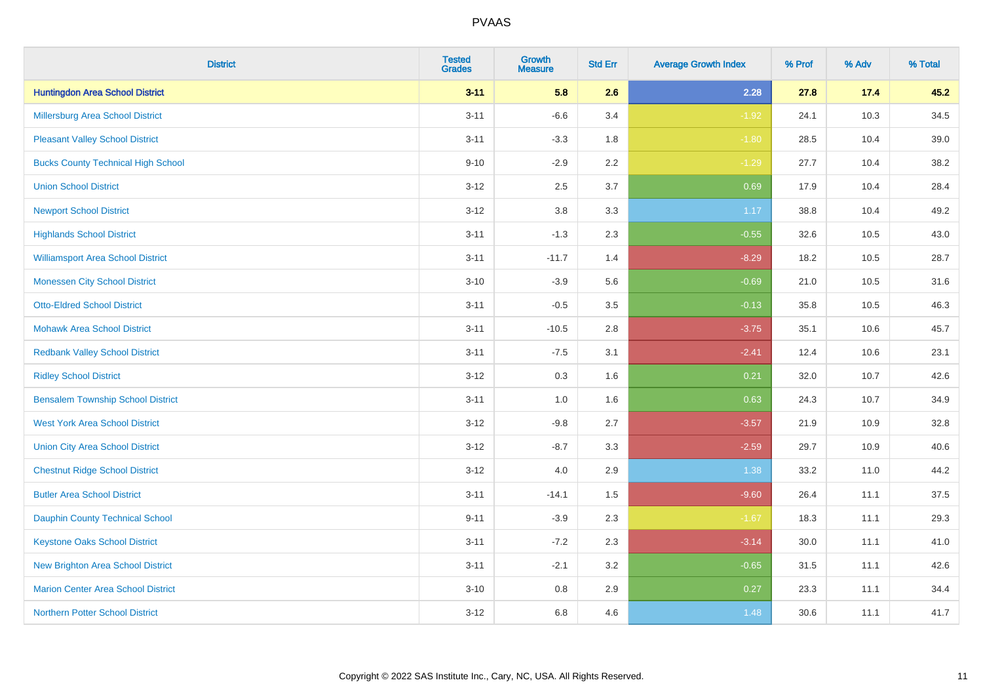| <b>District</b>                           | <b>Tested</b><br><b>Grades</b> | Growth<br><b>Measure</b> | <b>Std Err</b> | <b>Average Growth Index</b> | % Prof | % Adv | % Total |
|-------------------------------------------|--------------------------------|--------------------------|----------------|-----------------------------|--------|-------|---------|
| <b>Huntingdon Area School District</b>    | $3 - 11$                       | 5.8                      | 2.6            | 2.28                        | 27.8   | 17.4  | 45.2    |
| Millersburg Area School District          | $3 - 11$                       | $-6.6$                   | 3.4            | $-1.92$                     | 24.1   | 10.3  | 34.5    |
| <b>Pleasant Valley School District</b>    | $3 - 11$                       | $-3.3$                   | 1.8            | $-1.80$                     | 28.5   | 10.4  | 39.0    |
| <b>Bucks County Technical High School</b> | $9 - 10$                       | $-2.9$                   | 2.2            | $-1.29$                     | 27.7   | 10.4  | 38.2    |
| <b>Union School District</b>              | $3-12$                         | 2.5                      | 3.7            | 0.69                        | 17.9   | 10.4  | 28.4    |
| <b>Newport School District</b>            | $3-12$                         | $3.8\,$                  | 3.3            | 1.17                        | 38.8   | 10.4  | 49.2    |
| <b>Highlands School District</b>          | $3 - 11$                       | $-1.3$                   | 2.3            | $-0.55$                     | 32.6   | 10.5  | 43.0    |
| <b>Williamsport Area School District</b>  | $3 - 11$                       | $-11.7$                  | 1.4            | $-8.29$                     | 18.2   | 10.5  | 28.7    |
| <b>Monessen City School District</b>      | $3 - 10$                       | $-3.9$                   | 5.6            | $-0.69$                     | 21.0   | 10.5  | 31.6    |
| <b>Otto-Eldred School District</b>        | $3 - 11$                       | $-0.5$                   | 3.5            | $-0.13$                     | 35.8   | 10.5  | 46.3    |
| <b>Mohawk Area School District</b>        | $3 - 11$                       | $-10.5$                  | 2.8            | $-3.75$                     | 35.1   | 10.6  | 45.7    |
| <b>Redbank Valley School District</b>     | $3 - 11$                       | $-7.5$                   | 3.1            | $-2.41$                     | 12.4   | 10.6  | 23.1    |
| <b>Ridley School District</b>             | $3-12$                         | 0.3                      | 1.6            | 0.21                        | 32.0   | 10.7  | 42.6    |
| <b>Bensalem Township School District</b>  | $3 - 11$                       | 1.0                      | 1.6            | 0.63                        | 24.3   | 10.7  | 34.9    |
| <b>West York Area School District</b>     | $3 - 12$                       | $-9.8$                   | 2.7            | $-3.57$                     | 21.9   | 10.9  | 32.8    |
| <b>Union City Area School District</b>    | $3 - 12$                       | $-8.7$                   | 3.3            | $-2.59$                     | 29.7   | 10.9  | 40.6    |
| <b>Chestnut Ridge School District</b>     | $3 - 12$                       | 4.0                      | 2.9            | 1.38                        | 33.2   | 11.0  | 44.2    |
| <b>Butler Area School District</b>        | $3 - 11$                       | $-14.1$                  | 1.5            | $-9.60$                     | 26.4   | 11.1  | 37.5    |
| <b>Dauphin County Technical School</b>    | $9 - 11$                       | $-3.9$                   | 2.3            | $-1.67$                     | 18.3   | 11.1  | 29.3    |
| <b>Keystone Oaks School District</b>      | $3 - 11$                       | $-7.2$                   | 2.3            | $-3.14$                     | 30.0   | 11.1  | 41.0    |
| New Brighton Area School District         | $3 - 11$                       | $-2.1$                   | 3.2            | $-0.65$                     | 31.5   | 11.1  | 42.6    |
| <b>Marion Center Area School District</b> | $3 - 10$                       | $0.8\,$                  | 2.9            | 0.27                        | 23.3   | 11.1  | 34.4    |
| Northern Potter School District           | $3 - 12$                       | 6.8                      | 4.6            | 1.48                        | 30.6   | 11.1  | 41.7    |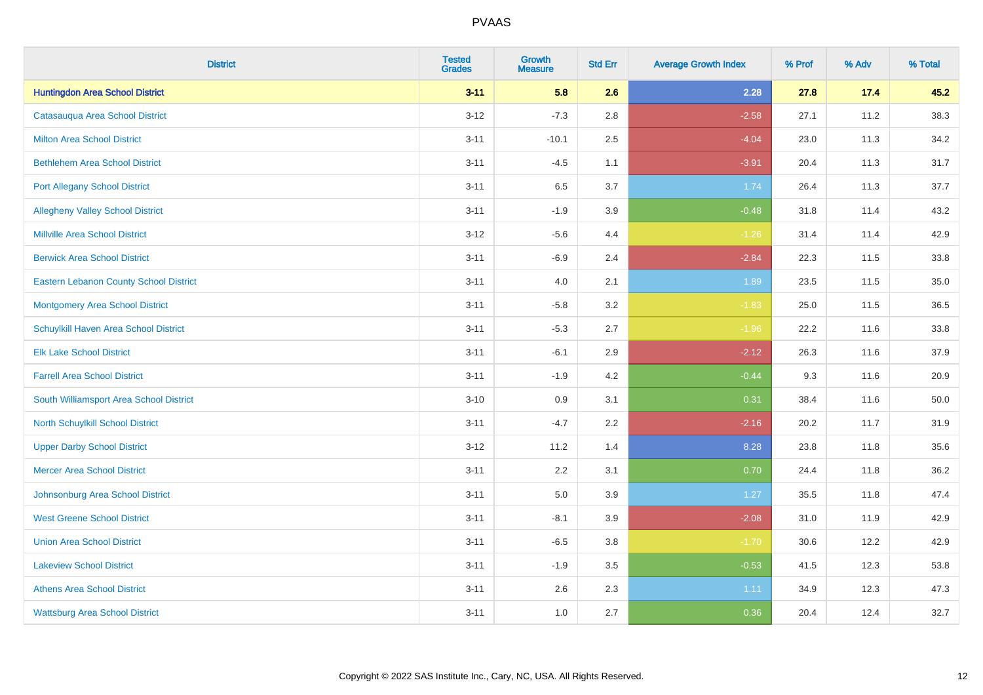| <b>District</b>                               | <b>Tested</b><br><b>Grades</b> | <b>Growth</b><br><b>Measure</b> | <b>Std Err</b> | <b>Average Growth Index</b> | % Prof | % Adv | % Total |
|-----------------------------------------------|--------------------------------|---------------------------------|----------------|-----------------------------|--------|-------|---------|
| <b>Huntingdon Area School District</b>        | $3 - 11$                       | 5.8                             | 2.6            | 2.28                        | 27.8   | 17.4  | 45.2    |
| Catasaugua Area School District               | $3 - 12$                       | $-7.3$                          | 2.8            | $-2.58$                     | 27.1   | 11.2  | 38.3    |
| <b>Milton Area School District</b>            | $3 - 11$                       | $-10.1$                         | 2.5            | $-4.04$                     | 23.0   | 11.3  | 34.2    |
| <b>Bethlehem Area School District</b>         | $3 - 11$                       | $-4.5$                          | 1.1            | $-3.91$                     | 20.4   | 11.3  | 31.7    |
| <b>Port Allegany School District</b>          | $3 - 11$                       | 6.5                             | 3.7            | 1.74                        | 26.4   | 11.3  | 37.7    |
| <b>Allegheny Valley School District</b>       | $3 - 11$                       | $-1.9$                          | 3.9            | $-0.48$                     | 31.8   | 11.4  | 43.2    |
| <b>Millville Area School District</b>         | $3-12$                         | $-5.6$                          | 4.4            | $-1.26$                     | 31.4   | 11.4  | 42.9    |
| <b>Berwick Area School District</b>           | $3 - 11$                       | $-6.9$                          | 2.4            | $-2.84$                     | 22.3   | 11.5  | 33.8    |
| <b>Eastern Lebanon County School District</b> | $3 - 11$                       | 4.0                             | 2.1            | 1.89                        | 23.5   | 11.5  | 35.0    |
| <b>Montgomery Area School District</b>        | $3 - 11$                       | $-5.8$                          | 3.2            | $-1.83$                     | 25.0   | 11.5  | 36.5    |
| Schuylkill Haven Area School District         | $3 - 11$                       | $-5.3$                          | 2.7            | $-1.96$                     | 22.2   | 11.6  | 33.8    |
| <b>Elk Lake School District</b>               | $3 - 11$                       | $-6.1$                          | 2.9            | $-2.12$                     | 26.3   | 11.6  | 37.9    |
| <b>Farrell Area School District</b>           | $3 - 11$                       | $-1.9$                          | 4.2            | $-0.44$                     | 9.3    | 11.6  | 20.9    |
| South Williamsport Area School District       | $3 - 10$                       | 0.9                             | 3.1            | 0.31                        | 38.4   | 11.6  | 50.0    |
| North Schuylkill School District              | $3 - 11$                       | $-4.7$                          | 2.2            | $-2.16$                     | 20.2   | 11.7  | 31.9    |
| <b>Upper Darby School District</b>            | $3 - 12$                       | 11.2                            | 1.4            | 8.28                        | 23.8   | 11.8  | 35.6    |
| <b>Mercer Area School District</b>            | $3 - 11$                       | 2.2                             | 3.1            | 0.70                        | 24.4   | 11.8  | 36.2    |
| Johnsonburg Area School District              | $3 - 11$                       | 5.0                             | 3.9            | $1.27$                      | 35.5   | 11.8  | 47.4    |
| <b>West Greene School District</b>            | $3 - 11$                       | $-8.1$                          | 3.9            | $-2.08$                     | 31.0   | 11.9  | 42.9    |
| <b>Union Area School District</b>             | $3 - 11$                       | $-6.5$                          | 3.8            | $-1.70$                     | 30.6   | 12.2  | 42.9    |
| <b>Lakeview School District</b>               | $3 - 11$                       | $-1.9$                          | 3.5            | $-0.53$                     | 41.5   | 12.3  | 53.8    |
| <b>Athens Area School District</b>            | $3 - 11$                       | 2.6                             | 2.3            | 1.11                        | 34.9   | 12.3  | 47.3    |
| <b>Wattsburg Area School District</b>         | $3 - 11$                       | 1.0                             | 2.7            | 0.36                        | 20.4   | 12.4  | 32.7    |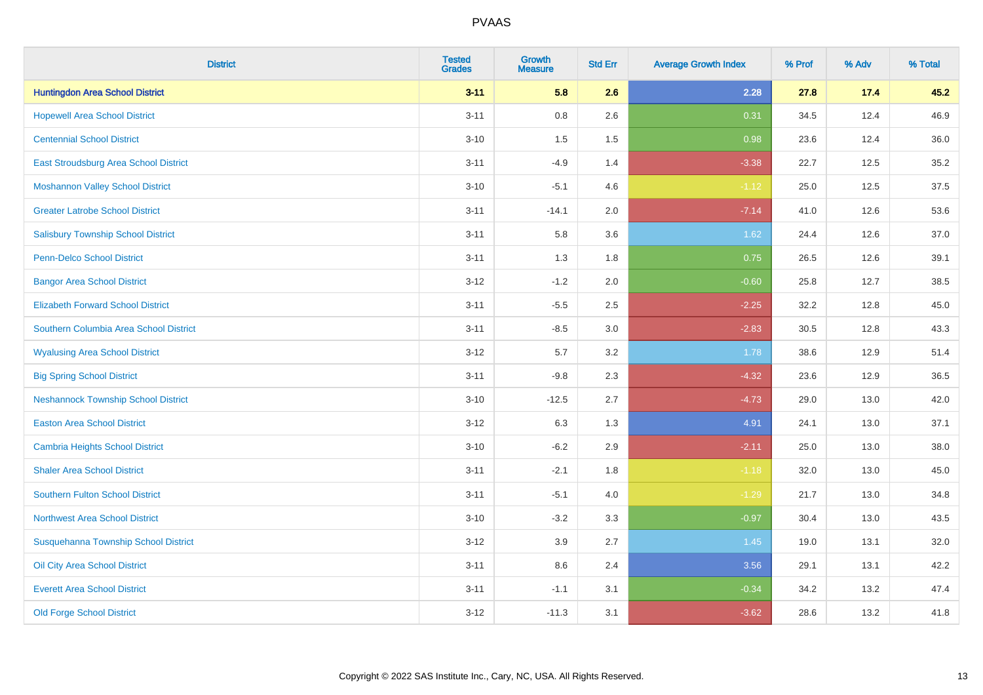| <b>District</b>                            | <b>Tested</b><br><b>Grades</b> | <b>Growth</b><br><b>Measure</b> | <b>Std Err</b> | <b>Average Growth Index</b> | % Prof | % Adv | % Total |
|--------------------------------------------|--------------------------------|---------------------------------|----------------|-----------------------------|--------|-------|---------|
| <b>Huntingdon Area School District</b>     | $3 - 11$                       | 5.8                             | 2.6            | 2.28                        | 27.8   | 17.4  | 45.2    |
| <b>Hopewell Area School District</b>       | $3 - 11$                       | $0.8\,$                         | 2.6            | 0.31                        | 34.5   | 12.4  | 46.9    |
| <b>Centennial School District</b>          | $3 - 10$                       | 1.5                             | 1.5            | 0.98                        | 23.6   | 12.4  | 36.0    |
| East Stroudsburg Area School District      | $3 - 11$                       | $-4.9$                          | 1.4            | $-3.38$                     | 22.7   | 12.5  | 35.2    |
| <b>Moshannon Valley School District</b>    | $3 - 10$                       | $-5.1$                          | 4.6            | $-1.12$                     | 25.0   | 12.5  | 37.5    |
| <b>Greater Latrobe School District</b>     | $3 - 11$                       | $-14.1$                         | 2.0            | $-7.14$                     | 41.0   | 12.6  | 53.6    |
| <b>Salisbury Township School District</b>  | $3 - 11$                       | 5.8                             | 3.6            | 1.62                        | 24.4   | 12.6  | 37.0    |
| <b>Penn-Delco School District</b>          | $3 - 11$                       | 1.3                             | 1.8            | 0.75                        | 26.5   | 12.6  | 39.1    |
| <b>Bangor Area School District</b>         | $3 - 12$                       | $-1.2$                          | 2.0            | $-0.60$                     | 25.8   | 12.7  | 38.5    |
| <b>Elizabeth Forward School District</b>   | $3 - 11$                       | $-5.5$                          | 2.5            | $-2.25$                     | 32.2   | 12.8  | 45.0    |
| Southern Columbia Area School District     | $3 - 11$                       | $-8.5$                          | 3.0            | $-2.83$                     | 30.5   | 12.8  | 43.3    |
| <b>Wyalusing Area School District</b>      | $3 - 12$                       | 5.7                             | 3.2            | 1.78                        | 38.6   | 12.9  | 51.4    |
| <b>Big Spring School District</b>          | $3 - 11$                       | $-9.8$                          | 2.3            | $-4.32$                     | 23.6   | 12.9  | 36.5    |
| <b>Neshannock Township School District</b> | $3 - 10$                       | $-12.5$                         | 2.7            | $-4.73$                     | 29.0   | 13.0  | 42.0    |
| <b>Easton Area School District</b>         | $3 - 12$                       | 6.3                             | 1.3            | 4.91                        | 24.1   | 13.0  | 37.1    |
| <b>Cambria Heights School District</b>     | $3 - 10$                       | $-6.2$                          | 2.9            | $-2.11$                     | 25.0   | 13.0  | 38.0    |
| <b>Shaler Area School District</b>         | $3 - 11$                       | $-2.1$                          | 1.8            | $-1.18$                     | 32.0   | 13.0  | 45.0    |
| <b>Southern Fulton School District</b>     | $3 - 11$                       | $-5.1$                          | 4.0            | $-1.29$                     | 21.7   | 13.0  | 34.8    |
| Northwest Area School District             | $3 - 10$                       | $-3.2$                          | 3.3            | $-0.97$                     | 30.4   | 13.0  | 43.5    |
| Susquehanna Township School District       | $3 - 12$                       | 3.9                             | 2.7            | 1.45                        | 19.0   | 13.1  | 32.0    |
| Oil City Area School District              | $3 - 11$                       | 8.6                             | 2.4            | 3.56                        | 29.1   | 13.1  | 42.2    |
| <b>Everett Area School District</b>        | $3 - 11$                       | $-1.1$                          | 3.1            | $-0.34$                     | 34.2   | 13.2  | 47.4    |
| <b>Old Forge School District</b>           | $3 - 12$                       | $-11.3$                         | 3.1            | $-3.62$                     | 28.6   | 13.2  | 41.8    |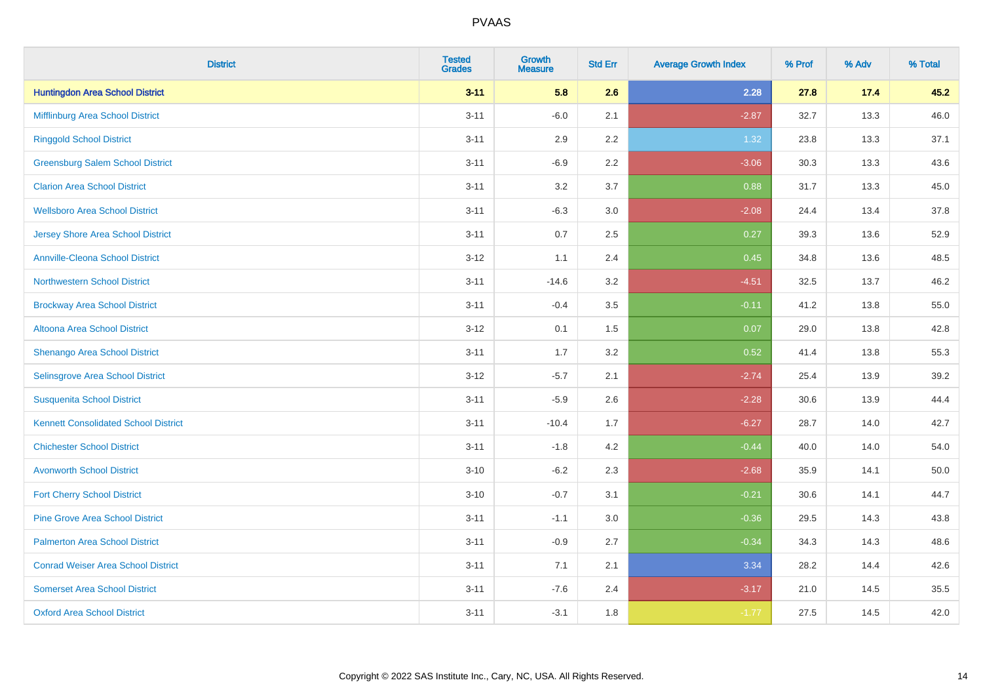| <b>District</b>                             | <b>Tested</b><br><b>Grades</b> | <b>Growth</b><br><b>Measure</b> | <b>Std Err</b> | <b>Average Growth Index</b> | % Prof | % Adv | % Total  |
|---------------------------------------------|--------------------------------|---------------------------------|----------------|-----------------------------|--------|-------|----------|
| <b>Huntingdon Area School District</b>      | $3 - 11$                       | 5.8                             | 2.6            | 2.28                        | 27.8   | 17.4  | 45.2     |
| Mifflinburg Area School District            | $3 - 11$                       | $-6.0$                          | 2.1            | $-2.87$                     | 32.7   | 13.3  | 46.0     |
| <b>Ringgold School District</b>             | $3 - 11$                       | 2.9                             | 2.2            | 1.32                        | 23.8   | 13.3  | 37.1     |
| <b>Greensburg Salem School District</b>     | $3 - 11$                       | $-6.9$                          | 2.2            | $-3.06$                     | 30.3   | 13.3  | 43.6     |
| <b>Clarion Area School District</b>         | $3 - 11$                       | 3.2                             | 3.7            | 0.88                        | 31.7   | 13.3  | 45.0     |
| <b>Wellsboro Area School District</b>       | $3 - 11$                       | $-6.3$                          | 3.0            | $-2.08$                     | 24.4   | 13.4  | 37.8     |
| <b>Jersey Shore Area School District</b>    | $3 - 11$                       | 0.7                             | 2.5            | 0.27                        | 39.3   | 13.6  | 52.9     |
| <b>Annville-Cleona School District</b>      | $3 - 12$                       | 1.1                             | 2.4            | 0.45                        | 34.8   | 13.6  | 48.5     |
| <b>Northwestern School District</b>         | $3 - 11$                       | $-14.6$                         | 3.2            | $-4.51$                     | 32.5   | 13.7  | 46.2     |
| <b>Brockway Area School District</b>        | $3 - 11$                       | $-0.4$                          | 3.5            | $-0.11$                     | 41.2   | 13.8  | 55.0     |
| Altoona Area School District                | $3 - 12$                       | 0.1                             | 1.5            | 0.07                        | 29.0   | 13.8  | 42.8     |
| Shenango Area School District               | $3 - 11$                       | 1.7                             | 3.2            | 0.52                        | 41.4   | 13.8  | 55.3     |
| Selinsgrove Area School District            | $3 - 12$                       | $-5.7$                          | 2.1            | $-2.74$                     | 25.4   | 13.9  | 39.2     |
| <b>Susquenita School District</b>           | $3 - 11$                       | $-5.9$                          | 2.6            | $-2.28$                     | 30.6   | 13.9  | 44.4     |
| <b>Kennett Consolidated School District</b> | $3 - 11$                       | $-10.4$                         | 1.7            | $-6.27$                     | 28.7   | 14.0  | 42.7     |
| <b>Chichester School District</b>           | $3 - 11$                       | $-1.8$                          | 4.2            | $-0.44$                     | 40.0   | 14.0  | 54.0     |
| <b>Avonworth School District</b>            | $3 - 10$                       | $-6.2$                          | 2.3            | $-2.68$                     | 35.9   | 14.1  | $50.0\,$ |
| <b>Fort Cherry School District</b>          | $3 - 10$                       | $-0.7$                          | 3.1            | $-0.21$                     | 30.6   | 14.1  | 44.7     |
| <b>Pine Grove Area School District</b>      | $3 - 11$                       | $-1.1$                          | 3.0            | $-0.36$                     | 29.5   | 14.3  | 43.8     |
| <b>Palmerton Area School District</b>       | $3 - 11$                       | $-0.9$                          | 2.7            | $-0.34$                     | 34.3   | 14.3  | 48.6     |
| <b>Conrad Weiser Area School District</b>   | $3 - 11$                       | 7.1                             | 2.1            | 3.34                        | 28.2   | 14.4  | 42.6     |
| <b>Somerset Area School District</b>        | $3 - 11$                       | $-7.6$                          | 2.4            | $-3.17$                     | 21.0   | 14.5  | 35.5     |
| <b>Oxford Area School District</b>          | $3 - 11$                       | $-3.1$                          | 1.8            | $-1.77$                     | 27.5   | 14.5  | 42.0     |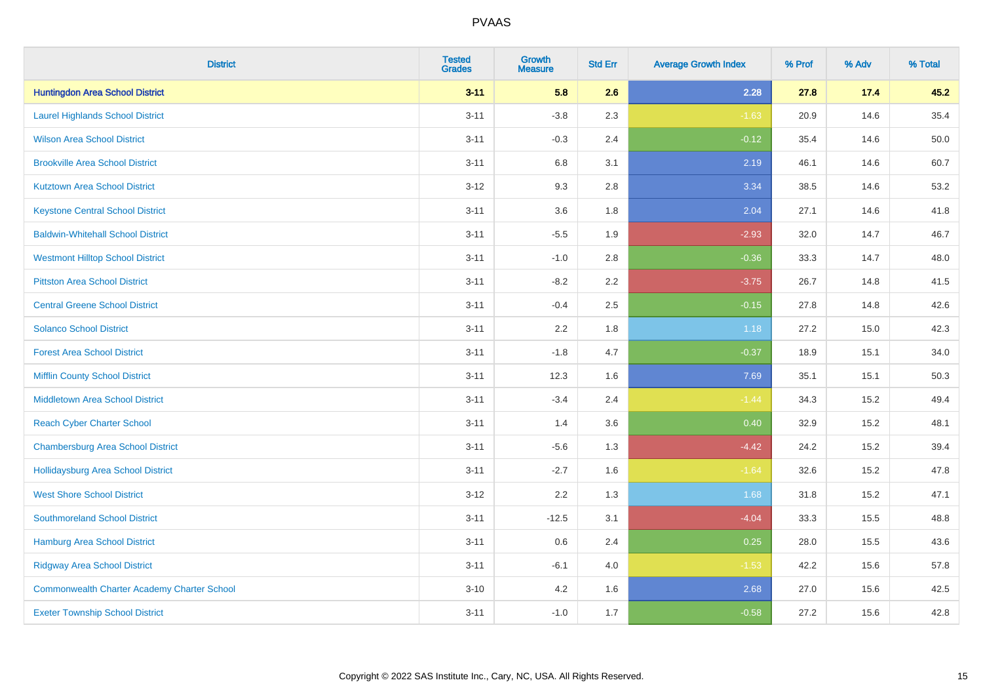| <b>District</b>                                    | <b>Tested</b><br><b>Grades</b> | <b>Growth</b><br><b>Measure</b> | <b>Std Err</b> | <b>Average Growth Index</b> | % Prof | % Adv | % Total |
|----------------------------------------------------|--------------------------------|---------------------------------|----------------|-----------------------------|--------|-------|---------|
| <b>Huntingdon Area School District</b>             | $3 - 11$                       | 5.8                             | 2.6            | 2.28                        | 27.8   | 17.4  | 45.2    |
| <b>Laurel Highlands School District</b>            | $3 - 11$                       | $-3.8$                          | 2.3            | $-1.63$                     | 20.9   | 14.6  | 35.4    |
| <b>Wilson Area School District</b>                 | $3 - 11$                       | $-0.3$                          | 2.4            | $-0.12$                     | 35.4   | 14.6  | 50.0    |
| <b>Brookville Area School District</b>             | $3 - 11$                       | $6.8\,$                         | 3.1            | 2.19                        | 46.1   | 14.6  | 60.7    |
| <b>Kutztown Area School District</b>               | $3 - 12$                       | 9.3                             | 2.8            | 3.34                        | 38.5   | 14.6  | 53.2    |
| <b>Keystone Central School District</b>            | $3 - 11$                       | 3.6                             | 1.8            | 2.04                        | 27.1   | 14.6  | 41.8    |
| <b>Baldwin-Whitehall School District</b>           | $3 - 11$                       | $-5.5$                          | 1.9            | $-2.93$                     | 32.0   | 14.7  | 46.7    |
| <b>Westmont Hilltop School District</b>            | $3 - 11$                       | $-1.0$                          | 2.8            | $-0.36$                     | 33.3   | 14.7  | 48.0    |
| <b>Pittston Area School District</b>               | $3 - 11$                       | $-8.2$                          | 2.2            | $-3.75$                     | 26.7   | 14.8  | 41.5    |
| <b>Central Greene School District</b>              | $3 - 11$                       | $-0.4$                          | 2.5            | $-0.15$                     | 27.8   | 14.8  | 42.6    |
| <b>Solanco School District</b>                     | $3 - 11$                       | 2.2                             | 1.8            | 1.18                        | 27.2   | 15.0  | 42.3    |
| <b>Forest Area School District</b>                 | $3 - 11$                       | $-1.8$                          | 4.7            | $-0.37$                     | 18.9   | 15.1  | 34.0    |
| <b>Mifflin County School District</b>              | $3 - 11$                       | 12.3                            | 1.6            | 7.69                        | 35.1   | 15.1  | 50.3    |
| <b>Middletown Area School District</b>             | $3 - 11$                       | $-3.4$                          | 2.4            | $-1.44$                     | 34.3   | 15.2  | 49.4    |
| <b>Reach Cyber Charter School</b>                  | $3 - 11$                       | 1.4                             | 3.6            | 0.40                        | 32.9   | 15.2  | 48.1    |
| <b>Chambersburg Area School District</b>           | $3 - 11$                       | $-5.6$                          | 1.3            | $-4.42$                     | 24.2   | 15.2  | 39.4    |
| Hollidaysburg Area School District                 | $3 - 11$                       | $-2.7$                          | 1.6            | $-1.64$                     | 32.6   | 15.2  | 47.8    |
| <b>West Shore School District</b>                  | $3 - 12$                       | 2.2                             | 1.3            | 1.68                        | 31.8   | 15.2  | 47.1    |
| <b>Southmoreland School District</b>               | $3 - 11$                       | $-12.5$                         | 3.1            | $-4.04$                     | 33.3   | 15.5  | 48.8    |
| <b>Hamburg Area School District</b>                | $3 - 11$                       | 0.6                             | 2.4            | 0.25                        | 28.0   | 15.5  | 43.6    |
| <b>Ridgway Area School District</b>                | $3 - 11$                       | $-6.1$                          | 4.0            | $-1.53$                     | 42.2   | 15.6  | 57.8    |
| <b>Commonwealth Charter Academy Charter School</b> | $3 - 10$                       | 4.2                             | 1.6            | 2.68                        | 27.0   | 15.6  | 42.5    |
| <b>Exeter Township School District</b>             | $3 - 11$                       | $-1.0$                          | 1.7            | $-0.58$                     | 27.2   | 15.6  | 42.8    |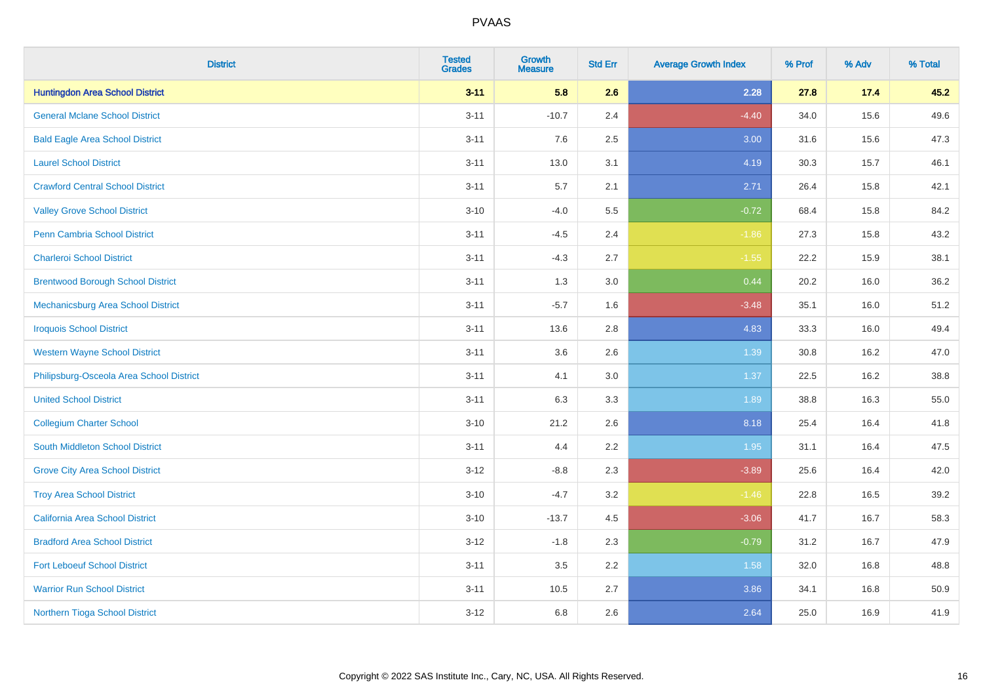| <b>District</b>                          | <b>Tested</b><br><b>Grades</b> | <b>Growth</b><br><b>Measure</b> | <b>Std Err</b> | <b>Average Growth Index</b> | % Prof | % Adv | % Total |
|------------------------------------------|--------------------------------|---------------------------------|----------------|-----------------------------|--------|-------|---------|
| <b>Huntingdon Area School District</b>   | $3 - 11$                       | 5.8                             | 2.6            | 2.28                        | 27.8   | 17.4  | 45.2    |
| <b>General Mclane School District</b>    | $3 - 11$                       | $-10.7$                         | 2.4            | $-4.40$                     | 34.0   | 15.6  | 49.6    |
| <b>Bald Eagle Area School District</b>   | $3 - 11$                       | 7.6                             | 2.5            | 3.00                        | 31.6   | 15.6  | 47.3    |
| <b>Laurel School District</b>            | $3 - 11$                       | 13.0                            | 3.1            | 4.19                        | 30.3   | 15.7  | 46.1    |
| <b>Crawford Central School District</b>  | $3 - 11$                       | 5.7                             | 2.1            | 2.71                        | 26.4   | 15.8  | 42.1    |
| <b>Valley Grove School District</b>      | $3 - 10$                       | $-4.0$                          | 5.5            | $-0.72$                     | 68.4   | 15.8  | 84.2    |
| Penn Cambria School District             | $3 - 11$                       | $-4.5$                          | 2.4            | $-1.86$                     | 27.3   | 15.8  | 43.2    |
| <b>Charleroi School District</b>         | $3 - 11$                       | $-4.3$                          | 2.7            | $-1.55$                     | 22.2   | 15.9  | 38.1    |
| <b>Brentwood Borough School District</b> | $3 - 11$                       | 1.3                             | 3.0            | 0.44                        | 20.2   | 16.0  | 36.2    |
| Mechanicsburg Area School District       | $3 - 11$                       | $-5.7$                          | 1.6            | $-3.48$                     | 35.1   | 16.0  | 51.2    |
| <b>Iroquois School District</b>          | $3 - 11$                       | 13.6                            | 2.8            | 4.83                        | 33.3   | 16.0  | 49.4    |
| <b>Western Wayne School District</b>     | $3 - 11$                       | 3.6                             | 2.6            | 1.39                        | 30.8   | 16.2  | 47.0    |
| Philipsburg-Osceola Area School District | $3 - 11$                       | 4.1                             | 3.0            | 1.37                        | 22.5   | 16.2  | 38.8    |
| <b>United School District</b>            | $3 - 11$                       | 6.3                             | 3.3            | 1.89                        | 38.8   | 16.3  | 55.0    |
| <b>Collegium Charter School</b>          | $3 - 10$                       | 21.2                            | 2.6            | 8.18                        | 25.4   | 16.4  | 41.8    |
| South Middleton School District          | $3 - 11$                       | 4.4                             | 2.2            | 1.95                        | 31.1   | 16.4  | 47.5    |
| <b>Grove City Area School District</b>   | $3 - 12$                       | $-8.8$                          | 2.3            | $-3.89$                     | 25.6   | 16.4  | 42.0    |
| <b>Troy Area School District</b>         | $3 - 10$                       | $-4.7$                          | 3.2            | $-1.46$                     | 22.8   | 16.5  | 39.2    |
| <b>California Area School District</b>   | $3 - 10$                       | $-13.7$                         | 4.5            | $-3.06$                     | 41.7   | 16.7  | 58.3    |
| <b>Bradford Area School District</b>     | $3 - 12$                       | $-1.8$                          | 2.3            | $-0.79$                     | 31.2   | 16.7  | 47.9    |
| <b>Fort Leboeuf School District</b>      | $3 - 11$                       | 3.5                             | 2.2            | 1.58                        | 32.0   | 16.8  | 48.8    |
| <b>Warrior Run School District</b>       | $3 - 11$                       | 10.5                            | 2.7            | 3.86                        | 34.1   | 16.8  | 50.9    |
| Northern Tioga School District           | $3 - 12$                       | 6.8                             | 2.6            | 2.64                        | 25.0   | 16.9  | 41.9    |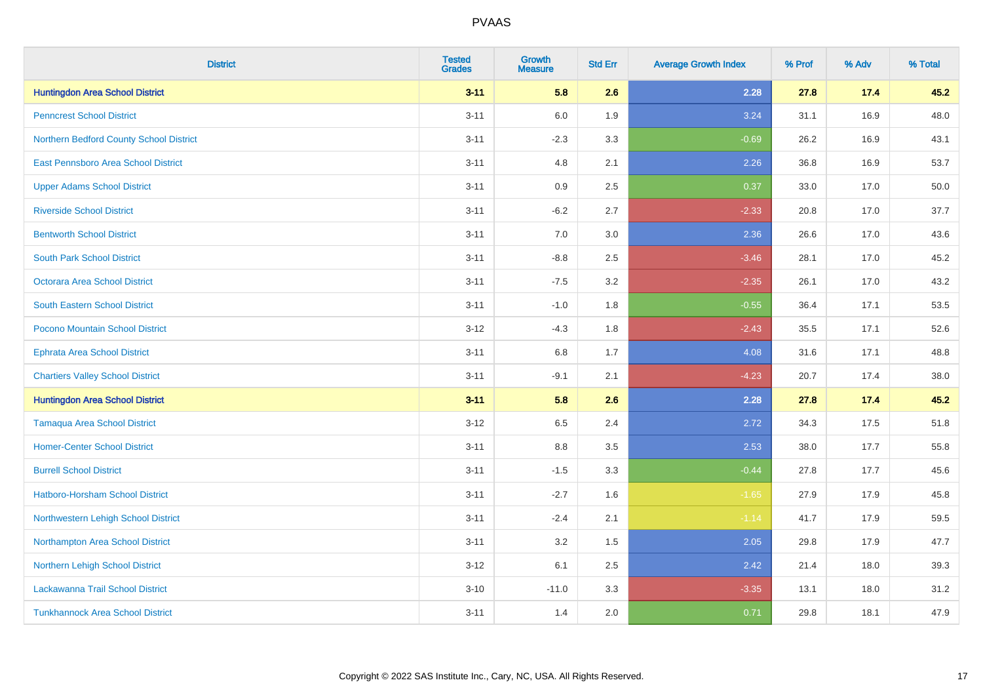| <b>District</b>                         | <b>Tested</b><br><b>Grades</b> | <b>Growth</b><br><b>Measure</b> | <b>Std Err</b> | <b>Average Growth Index</b> | % Prof | % Adv | % Total |
|-----------------------------------------|--------------------------------|---------------------------------|----------------|-----------------------------|--------|-------|---------|
| <b>Huntingdon Area School District</b>  | $3 - 11$                       | 5.8                             | 2.6            | 2.28                        | 27.8   | 17.4  | 45.2    |
| <b>Penncrest School District</b>        | $3 - 11$                       | 6.0                             | 1.9            | 3.24                        | 31.1   | 16.9  | 48.0    |
| Northern Bedford County School District | $3 - 11$                       | $-2.3$                          | 3.3            | $-0.69$                     | 26.2   | 16.9  | 43.1    |
| East Pennsboro Area School District     | $3 - 11$                       | 4.8                             | 2.1            | 2.26                        | 36.8   | 16.9  | 53.7    |
| <b>Upper Adams School District</b>      | $3 - 11$                       | 0.9                             | 2.5            | 0.37                        | 33.0   | 17.0  | 50.0    |
| <b>Riverside School District</b>        | $3 - 11$                       | $-6.2$                          | 2.7            | $-2.33$                     | 20.8   | 17.0  | 37.7    |
| <b>Bentworth School District</b>        | $3 - 11$                       | 7.0                             | 3.0            | 2.36                        | 26.6   | 17.0  | 43.6    |
| <b>South Park School District</b>       | $3 - 11$                       | $-8.8$                          | 2.5            | $-3.46$                     | 28.1   | 17.0  | 45.2    |
| <b>Octorara Area School District</b>    | $3 - 11$                       | $-7.5$                          | 3.2            | $-2.35$                     | 26.1   | 17.0  | 43.2    |
| <b>South Eastern School District</b>    | $3 - 11$                       | $-1.0$                          | 1.8            | $-0.55$                     | 36.4   | 17.1  | 53.5    |
| Pocono Mountain School District         | $3 - 12$                       | $-4.3$                          | 1.8            | $-2.43$                     | 35.5   | 17.1  | 52.6    |
| <b>Ephrata Area School District</b>     | $3 - 11$                       | 6.8                             | 1.7            | 4.08                        | 31.6   | 17.1  | 48.8    |
| <b>Chartiers Valley School District</b> | $3 - 11$                       | $-9.1$                          | 2.1            | $-4.23$                     | 20.7   | 17.4  | 38.0    |
| <b>Huntingdon Area School District</b>  | $3 - 11$                       | 5.8                             | 2.6            | 2.28                        | 27.8   | 17.4  | 45.2    |
| <b>Tamaqua Area School District</b>     | $3 - 12$                       | 6.5                             | 2.4            | 2.72                        | 34.3   | 17.5  | 51.8    |
| <b>Homer-Center School District</b>     | $3 - 11$                       | 8.8                             | 3.5            | 2.53                        | 38.0   | 17.7  | 55.8    |
| <b>Burrell School District</b>          | $3 - 11$                       | $-1.5$                          | 3.3            | $-0.44$                     | 27.8   | 17.7  | 45.6    |
| Hatboro-Horsham School District         | $3 - 11$                       | $-2.7$                          | 1.6            | $-1.65$                     | 27.9   | 17.9  | 45.8    |
| Northwestern Lehigh School District     | $3 - 11$                       | $-2.4$                          | 2.1            | $-1.14$                     | 41.7   | 17.9  | 59.5    |
| Northampton Area School District        | $3 - 11$                       | 3.2                             | 1.5            | 2.05                        | 29.8   | 17.9  | 47.7    |
| Northern Lehigh School District         | $3 - 12$                       | 6.1                             | 2.5            | 2.42                        | 21.4   | 18.0  | 39.3    |
| Lackawanna Trail School District        | $3 - 10$                       | $-11.0$                         | 3.3            | $-3.35$                     | 13.1   | 18.0  | 31.2    |
| <b>Tunkhannock Area School District</b> | $3 - 11$                       | 1.4                             | 2.0            | 0.71                        | 29.8   | 18.1  | 47.9    |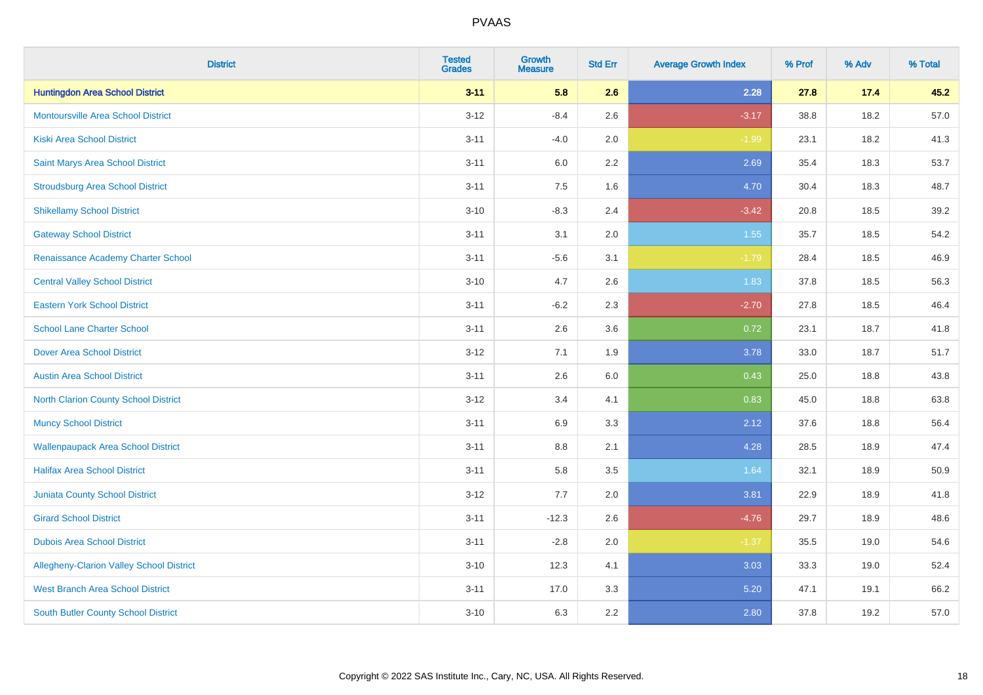| <b>District</b>                                 | <b>Tested</b><br><b>Grades</b> | <b>Growth</b><br><b>Measure</b> | <b>Std Err</b> | <b>Average Growth Index</b> | % Prof | % Adv | % Total |
|-------------------------------------------------|--------------------------------|---------------------------------|----------------|-----------------------------|--------|-------|---------|
| <b>Huntingdon Area School District</b>          | $3 - 11$                       | 5.8                             | 2.6            | 2.28                        | 27.8   | 17.4  | 45.2    |
| <b>Montoursville Area School District</b>       | $3 - 12$                       | $-8.4$                          | 2.6            | $-3.17$                     | 38.8   | 18.2  | 57.0    |
| <b>Kiski Area School District</b>               | $3 - 11$                       | $-4.0$                          | 2.0            | $-1.99$                     | 23.1   | 18.2  | 41.3    |
| Saint Marys Area School District                | $3 - 11$                       | 6.0                             | 2.2            | 2.69                        | 35.4   | 18.3  | 53.7    |
| <b>Stroudsburg Area School District</b>         | $3 - 11$                       | 7.5                             | 1.6            | 4.70                        | 30.4   | 18.3  | 48.7    |
| <b>Shikellamy School District</b>               | $3 - 10$                       | $-8.3$                          | 2.4            | $-3.42$                     | 20.8   | 18.5  | 39.2    |
| <b>Gateway School District</b>                  | $3 - 11$                       | 3.1                             | 2.0            | 1.55                        | 35.7   | 18.5  | 54.2    |
| Renaissance Academy Charter School              | $3 - 11$                       | $-5.6$                          | 3.1            | $-1.79$                     | 28.4   | 18.5  | 46.9    |
| <b>Central Valley School District</b>           | $3 - 10$                       | 4.7                             | 2.6            | 1.83                        | 37.8   | 18.5  | 56.3    |
| <b>Eastern York School District</b>             | $3 - 11$                       | $-6.2$                          | 2.3            | $-2.70$                     | 27.8   | 18.5  | 46.4    |
| <b>School Lane Charter School</b>               | $3 - 11$                       | 2.6                             | 3.6            | 0.72                        | 23.1   | 18.7  | 41.8    |
| <b>Dover Area School District</b>               | $3 - 12$                       | 7.1                             | 1.9            | 3.78                        | 33.0   | 18.7  | 51.7    |
| <b>Austin Area School District</b>              | $3 - 11$                       | 2.6                             | $6.0\,$        | 0.43                        | 25.0   | 18.8  | 43.8    |
| <b>North Clarion County School District</b>     | $3-12$                         | 3.4                             | 4.1            | 0.83                        | 45.0   | 18.8  | 63.8    |
| <b>Muncy School District</b>                    | $3 - 11$                       | 6.9                             | 3.3            | 2.12                        | 37.6   | 18.8  | 56.4    |
| <b>Wallenpaupack Area School District</b>       | $3 - 11$                       | 8.8                             | 2.1            | 4.28                        | 28.5   | 18.9  | 47.4    |
| <b>Halifax Area School District</b>             | $3 - 11$                       | 5.8                             | 3.5            | 1.64                        | 32.1   | 18.9  | 50.9    |
| Juniata County School District                  | $3 - 12$                       | 7.7                             | 2.0            | 3.81                        | 22.9   | 18.9  | 41.8    |
| <b>Girard School District</b>                   | $3 - 11$                       | $-12.3$                         | 2.6            | $-4.76$                     | 29.7   | 18.9  | 48.6    |
| <b>Dubois Area School District</b>              | $3 - 11$                       | $-2.8$                          | 2.0            | $-1.37$                     | 35.5   | 19.0  | 54.6    |
| <b>Allegheny-Clarion Valley School District</b> | $3 - 10$                       | 12.3                            | 4.1            | 3.03                        | 33.3   | 19.0  | 52.4    |
| <b>West Branch Area School District</b>         | $3 - 11$                       | 17.0                            | 3.3            | 5.20                        | 47.1   | 19.1  | 66.2    |
| South Butler County School District             | $3 - 10$                       | 6.3                             | 2.2            | 2.80                        | 37.8   | 19.2  | 57.0    |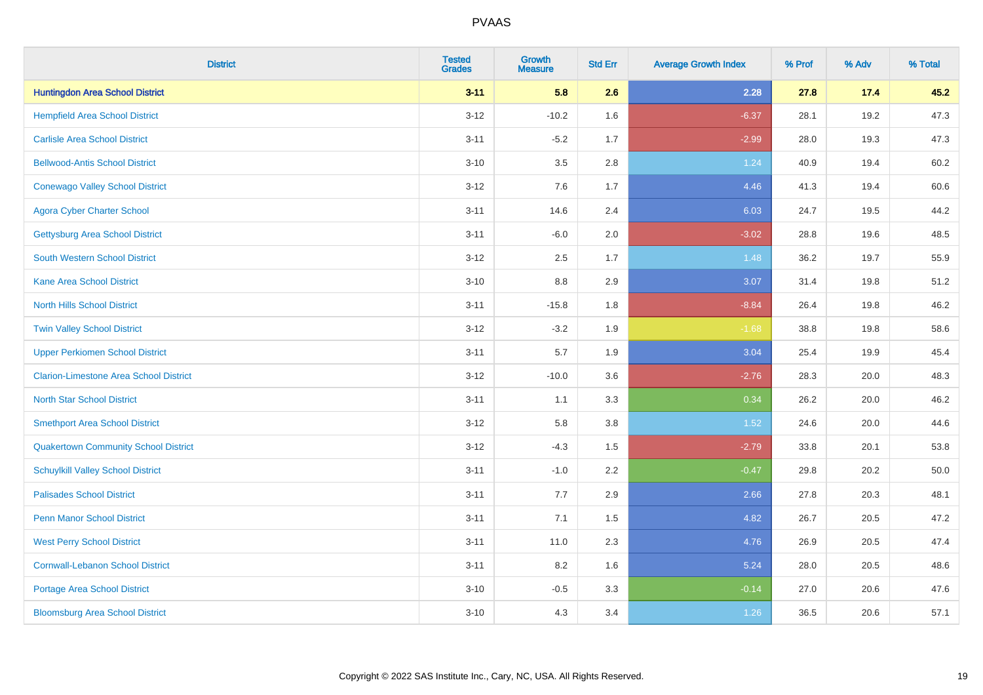| <b>District</b>                               | <b>Tested</b><br><b>Grades</b> | <b>Growth</b><br><b>Measure</b> | <b>Std Err</b> | <b>Average Growth Index</b> | % Prof | % Adv | % Total |
|-----------------------------------------------|--------------------------------|---------------------------------|----------------|-----------------------------|--------|-------|---------|
| <b>Huntingdon Area School District</b>        | $3 - 11$                       | 5.8                             | 2.6            | 2.28                        | 27.8   | 17.4  | 45.2    |
| <b>Hempfield Area School District</b>         | $3-12$                         | $-10.2$                         | 1.6            | $-6.37$                     | 28.1   | 19.2  | 47.3    |
| <b>Carlisle Area School District</b>          | $3 - 11$                       | $-5.2$                          | 1.7            | $-2.99$                     | 28.0   | 19.3  | 47.3    |
| <b>Bellwood-Antis School District</b>         | $3 - 10$                       | 3.5                             | 2.8            | 1.24                        | 40.9   | 19.4  | 60.2    |
| <b>Conewago Valley School District</b>        | $3-12$                         | 7.6                             | 1.7            | 4.46                        | 41.3   | 19.4  | 60.6    |
| <b>Agora Cyber Charter School</b>             | $3 - 11$                       | 14.6                            | 2.4            | 6.03                        | 24.7   | 19.5  | 44.2    |
| <b>Gettysburg Area School District</b>        | $3 - 11$                       | $-6.0$                          | 2.0            | $-3.02$                     | 28.8   | 19.6  | 48.5    |
| <b>South Western School District</b>          | $3 - 12$                       | 2.5                             | 1.7            | 1.48                        | 36.2   | 19.7  | 55.9    |
| <b>Kane Area School District</b>              | $3 - 10$                       | 8.8                             | 2.9            | 3.07                        | 31.4   | 19.8  | 51.2    |
| <b>North Hills School District</b>            | $3 - 11$                       | $-15.8$                         | 1.8            | $-8.84$                     | 26.4   | 19.8  | 46.2    |
| <b>Twin Valley School District</b>            | $3 - 12$                       | $-3.2$                          | 1.9            | $-1.68$                     | 38.8   | 19.8  | 58.6    |
| <b>Upper Perkiomen School District</b>        | $3 - 11$                       | 5.7                             | 1.9            | 3.04                        | 25.4   | 19.9  | 45.4    |
| <b>Clarion-Limestone Area School District</b> | $3-12$                         | $-10.0$                         | 3.6            | $-2.76$                     | 28.3   | 20.0  | 48.3    |
| <b>North Star School District</b>             | $3 - 11$                       | 1.1                             | 3.3            | 0.34                        | 26.2   | 20.0  | 46.2    |
| <b>Smethport Area School District</b>         | $3-12$                         | 5.8                             | 3.8            | 1.52                        | 24.6   | 20.0  | 44.6    |
| <b>Quakertown Community School District</b>   | $3 - 12$                       | $-4.3$                          | 1.5            | $-2.79$                     | 33.8   | 20.1  | 53.8    |
| <b>Schuylkill Valley School District</b>      | $3 - 11$                       | $-1.0$                          | 2.2            | $-0.47$                     | 29.8   | 20.2  | 50.0    |
| <b>Palisades School District</b>              | $3 - 11$                       | 7.7                             | 2.9            | 2.66                        | 27.8   | 20.3  | 48.1    |
| <b>Penn Manor School District</b>             | $3 - 11$                       | 7.1                             | 1.5            | 4.82                        | 26.7   | 20.5  | 47.2    |
| <b>West Perry School District</b>             | $3 - 11$                       | 11.0                            | 2.3            | 4.76                        | 26.9   | 20.5  | 47.4    |
| <b>Cornwall-Lebanon School District</b>       | $3 - 11$                       | 8.2                             | 1.6            | 5.24                        | 28.0   | 20.5  | 48.6    |
| <b>Portage Area School District</b>           | $3 - 10$                       | $-0.5$                          | 3.3            | $-0.14$                     | 27.0   | 20.6  | 47.6    |
| <b>Bloomsburg Area School District</b>        | $3 - 10$                       | 4.3                             | 3.4            | 1.26                        | 36.5   | 20.6  | 57.1    |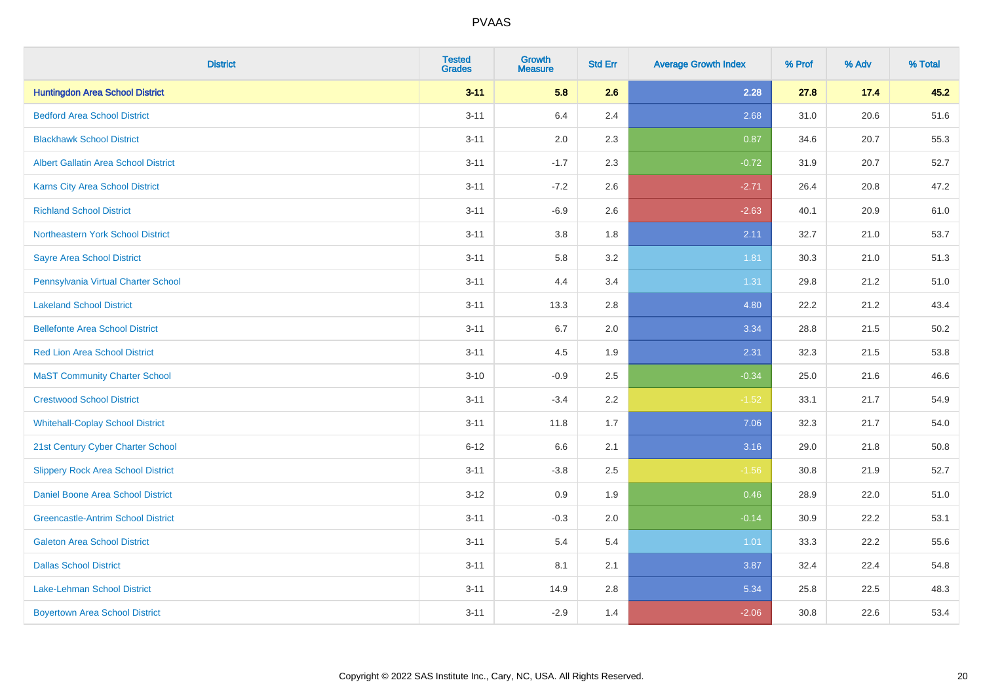| <b>District</b>                             | <b>Tested</b><br><b>Grades</b> | <b>Growth</b><br><b>Measure</b> | <b>Std Err</b> | <b>Average Growth Index</b> | % Prof | % Adv | % Total |
|---------------------------------------------|--------------------------------|---------------------------------|----------------|-----------------------------|--------|-------|---------|
| <b>Huntingdon Area School District</b>      | $3 - 11$                       | 5.8                             | 2.6            | 2.28                        | 27.8   | 17.4  | 45.2    |
| <b>Bedford Area School District</b>         | $3 - 11$                       | 6.4                             | 2.4            | 2.68                        | 31.0   | 20.6  | 51.6    |
| <b>Blackhawk School District</b>            | $3 - 11$                       | 2.0                             | 2.3            | 0.87                        | 34.6   | 20.7  | 55.3    |
| <b>Albert Gallatin Area School District</b> | $3 - 11$                       | $-1.7$                          | 2.3            | $-0.72$                     | 31.9   | 20.7  | 52.7    |
| Karns City Area School District             | $3 - 11$                       | $-7.2$                          | 2.6            | $-2.71$                     | 26.4   | 20.8  | 47.2    |
| <b>Richland School District</b>             | $3 - 11$                       | $-6.9$                          | 2.6            | $-2.63$                     | 40.1   | 20.9  | 61.0    |
| Northeastern York School District           | $3 - 11$                       | $3.8\,$                         | 1.8            | 2.11                        | 32.7   | 21.0  | 53.7    |
| <b>Sayre Area School District</b>           | $3 - 11$                       | 5.8                             | 3.2            | 1.81                        | 30.3   | 21.0  | 51.3    |
| Pennsylvania Virtual Charter School         | $3 - 11$                       | 4.4                             | 3.4            | 1.31                        | 29.8   | 21.2  | 51.0    |
| <b>Lakeland School District</b>             | $3 - 11$                       | 13.3                            | 2.8            | 4.80                        | 22.2   | 21.2  | 43.4    |
| <b>Bellefonte Area School District</b>      | $3 - 11$                       | 6.7                             | 2.0            | 3.34                        | 28.8   | 21.5  | 50.2    |
| <b>Red Lion Area School District</b>        | $3 - 11$                       | 4.5                             | 1.9            | 2.31                        | 32.3   | 21.5  | 53.8    |
| <b>MaST Community Charter School</b>        | $3 - 10$                       | $-0.9$                          | 2.5            | $-0.34$                     | 25.0   | 21.6  | 46.6    |
| <b>Crestwood School District</b>            | $3 - 11$                       | $-3.4$                          | 2.2            | $-1.52$                     | 33.1   | 21.7  | 54.9    |
| <b>Whitehall-Coplay School District</b>     | $3 - 11$                       | 11.8                            | 1.7            | 7.06                        | 32.3   | 21.7  | 54.0    |
| 21st Century Cyber Charter School           | $6 - 12$                       | 6.6                             | 2.1            | 3.16                        | 29.0   | 21.8  | 50.8    |
| <b>Slippery Rock Area School District</b>   | $3 - 11$                       | $-3.8$                          | 2.5            | $-1.56$                     | 30.8   | 21.9  | 52.7    |
| Daniel Boone Area School District           | $3 - 12$                       | 0.9                             | 1.9            | 0.46                        | 28.9   | 22.0  | 51.0    |
| <b>Greencastle-Antrim School District</b>   | $3 - 11$                       | $-0.3$                          | 2.0            | $-0.14$                     | 30.9   | 22.2  | 53.1    |
| <b>Galeton Area School District</b>         | $3 - 11$                       | 5.4                             | 5.4            | 1.01                        | 33.3   | 22.2  | 55.6    |
| <b>Dallas School District</b>               | $3 - 11$                       | 8.1                             | 2.1            | 3.87                        | 32.4   | 22.4  | 54.8    |
| Lake-Lehman School District                 | $3 - 11$                       | 14.9                            | 2.8            | 5.34                        | 25.8   | 22.5  | 48.3    |
| <b>Boyertown Area School District</b>       | $3 - 11$                       | $-2.9$                          | 1.4            | $-2.06$                     | 30.8   | 22.6  | 53.4    |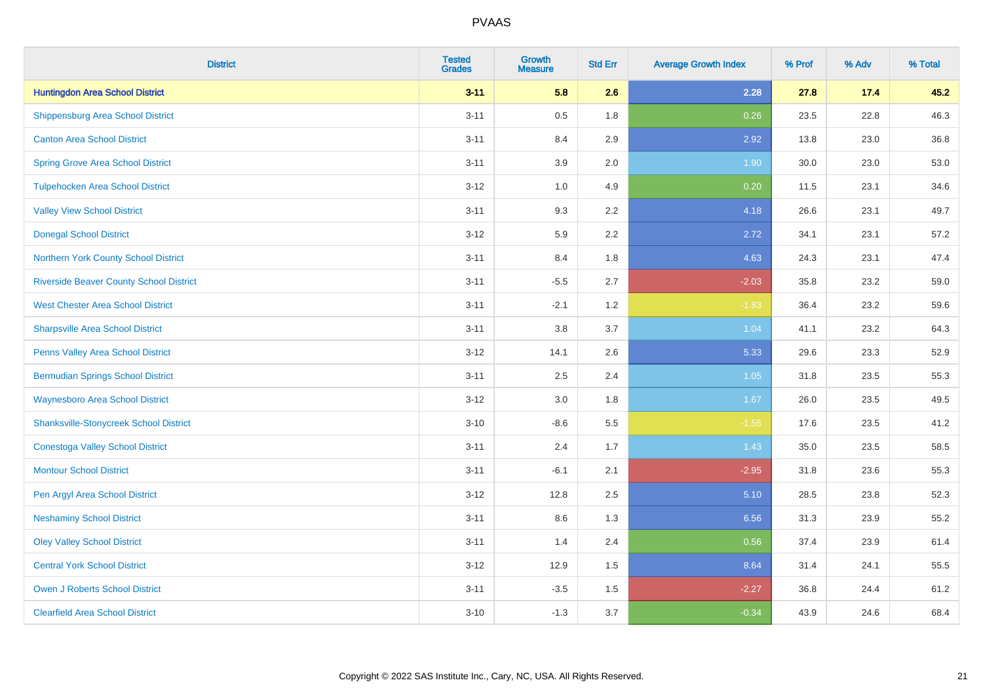| <b>District</b>                                | <b>Tested</b><br><b>Grades</b> | <b>Growth</b><br><b>Measure</b> | <b>Std Err</b> | <b>Average Growth Index</b> | % Prof | % Adv | % Total |
|------------------------------------------------|--------------------------------|---------------------------------|----------------|-----------------------------|--------|-------|---------|
| <b>Huntingdon Area School District</b>         | $3 - 11$                       | 5.8                             | 2.6            | 2.28                        | 27.8   | 17.4  | 45.2    |
| <b>Shippensburg Area School District</b>       | $3 - 11$                       | 0.5                             | 1.8            | 0.26                        | 23.5   | 22.8  | 46.3    |
| <b>Canton Area School District</b>             | $3 - 11$                       | 8.4                             | 2.9            | 2.92                        | 13.8   | 23.0  | 36.8    |
| <b>Spring Grove Area School District</b>       | $3 - 11$                       | 3.9                             | 2.0            | 1.90                        | 30.0   | 23.0  | 53.0    |
| <b>Tulpehocken Area School District</b>        | $3 - 12$                       | 1.0                             | 4.9            | 0.20                        | 11.5   | 23.1  | 34.6    |
| <b>Valley View School District</b>             | $3 - 11$                       | 9.3                             | 2.2            | 4.18                        | 26.6   | 23.1  | 49.7    |
| <b>Donegal School District</b>                 | $3-12$                         | 5.9                             | 2.2            | 2.72                        | 34.1   | 23.1  | 57.2    |
| Northern York County School District           | $3 - 11$                       | 8.4                             | 1.8            | 4.63                        | 24.3   | 23.1  | 47.4    |
| <b>Riverside Beaver County School District</b> | $3 - 11$                       | $-5.5$                          | 2.7            | $-2.03$                     | 35.8   | 23.2  | 59.0    |
| <b>West Chester Area School District</b>       | $3 - 11$                       | $-2.1$                          | 1.2            | $-1.83$                     | 36.4   | 23.2  | 59.6    |
| <b>Sharpsville Area School District</b>        | $3 - 11$                       | 3.8                             | 3.7            | 1.04                        | 41.1   | 23.2  | 64.3    |
| Penns Valley Area School District              | $3 - 12$                       | 14.1                            | 2.6            | 5.33                        | 29.6   | 23.3  | 52.9    |
| <b>Bermudian Springs School District</b>       | $3 - 11$                       | 2.5                             | 2.4            | 1.05                        | 31.8   | 23.5  | 55.3    |
| <b>Waynesboro Area School District</b>         | $3-12$                         | 3.0                             | 1.8            | 1.67                        | 26.0   | 23.5  | 49.5    |
| <b>Shanksville-Stonycreek School District</b>  | $3 - 10$                       | $-8.6$                          | 5.5            | $-1.55$                     | 17.6   | 23.5  | 41.2    |
| <b>Conestoga Valley School District</b>        | $3 - 11$                       | 2.4                             | 1.7            | 1.43                        | 35.0   | 23.5  | 58.5    |
| <b>Montour School District</b>                 | $3 - 11$                       | $-6.1$                          | 2.1            | $-2.95$                     | 31.8   | 23.6  | 55.3    |
| Pen Argyl Area School District                 | $3 - 12$                       | 12.8                            | 2.5            | 5.10                        | 28.5   | 23.8  | 52.3    |
| <b>Neshaminy School District</b>               | $3 - 11$                       | 8.6                             | 1.3            | 6.56                        | 31.3   | 23.9  | 55.2    |
| <b>Oley Valley School District</b>             | $3 - 11$                       | 1.4                             | 2.4            | 0.56                        | 37.4   | 23.9  | 61.4    |
| <b>Central York School District</b>            | $3-12$                         | 12.9                            | 1.5            | 8.64                        | 31.4   | 24.1  | 55.5    |
| <b>Owen J Roberts School District</b>          | $3 - 11$                       | $-3.5$                          | 1.5            | $-2.27$                     | 36.8   | 24.4  | 61.2    |
| <b>Clearfield Area School District</b>         | $3 - 10$                       | $-1.3$                          | 3.7            | $-0.34$                     | 43.9   | 24.6  | 68.4    |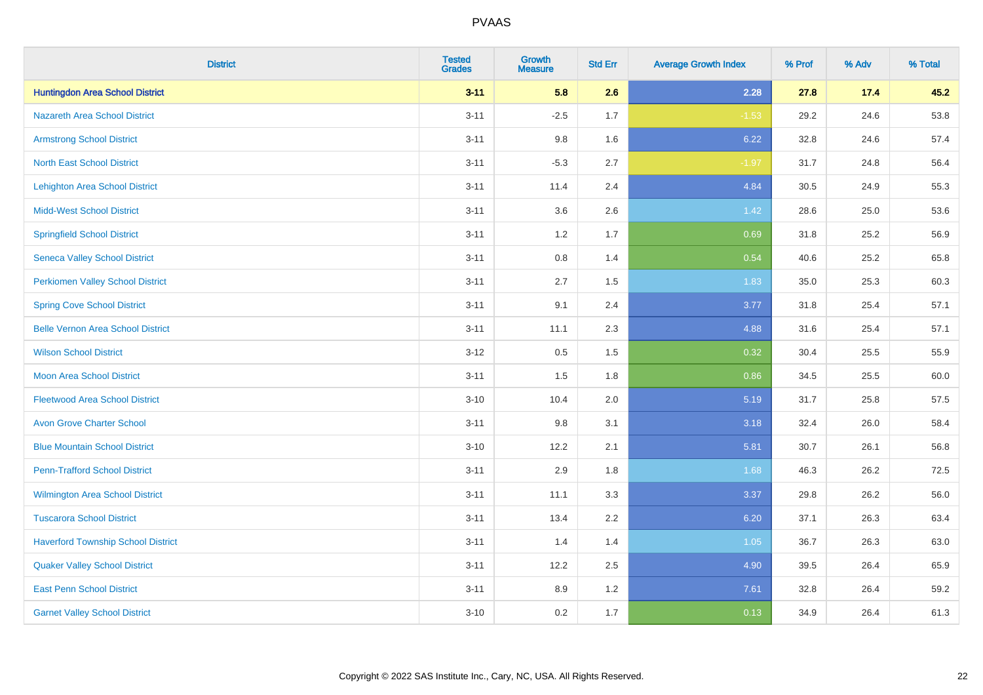| <b>District</b>                           | <b>Tested</b><br><b>Grades</b> | <b>Growth</b><br><b>Measure</b> | <b>Std Err</b> | <b>Average Growth Index</b> | % Prof | % Adv | % Total |
|-------------------------------------------|--------------------------------|---------------------------------|----------------|-----------------------------|--------|-------|---------|
| <b>Huntingdon Area School District</b>    | $3 - 11$                       | 5.8                             | 2.6            | 2.28                        | 27.8   | 17.4  | 45.2    |
| <b>Nazareth Area School District</b>      | $3 - 11$                       | $-2.5$                          | 1.7            | $-1.53$                     | 29.2   | 24.6  | 53.8    |
| <b>Armstrong School District</b>          | $3 - 11$                       | 9.8                             | 1.6            | 6.22                        | 32.8   | 24.6  | 57.4    |
| <b>North East School District</b>         | $3 - 11$                       | $-5.3$                          | 2.7            | $-1.97$                     | 31.7   | 24.8  | 56.4    |
| <b>Lehighton Area School District</b>     | $3 - 11$                       | 11.4                            | 2.4            | 4.84                        | 30.5   | 24.9  | 55.3    |
| <b>Midd-West School District</b>          | $3 - 11$                       | 3.6                             | 2.6            | 1.42                        | 28.6   | 25.0  | 53.6    |
| <b>Springfield School District</b>        | $3 - 11$                       | 1.2                             | 1.7            | 0.69                        | 31.8   | 25.2  | 56.9    |
| <b>Seneca Valley School District</b>      | $3 - 11$                       | 0.8                             | 1.4            | 0.54                        | 40.6   | 25.2  | 65.8    |
| <b>Perkiomen Valley School District</b>   | $3 - 11$                       | 2.7                             | 1.5            | 1.83                        | 35.0   | 25.3  | 60.3    |
| <b>Spring Cove School District</b>        | $3 - 11$                       | 9.1                             | 2.4            | 3.77                        | 31.8   | 25.4  | 57.1    |
| <b>Belle Vernon Area School District</b>  | $3 - 11$                       | 11.1                            | 2.3            | 4.88                        | 31.6   | 25.4  | 57.1    |
| <b>Wilson School District</b>             | $3 - 12$                       | 0.5                             | 1.5            | 0.32                        | 30.4   | 25.5  | 55.9    |
| <b>Moon Area School District</b>          | $3 - 11$                       | 1.5                             | 1.8            | 0.86                        | 34.5   | 25.5  | 60.0    |
| <b>Fleetwood Area School District</b>     | $3 - 10$                       | 10.4                            | 2.0            | 5.19                        | 31.7   | 25.8  | 57.5    |
| <b>Avon Grove Charter School</b>          | $3 - 11$                       | 9.8                             | 3.1            | 3.18                        | 32.4   | 26.0  | 58.4    |
| <b>Blue Mountain School District</b>      | $3 - 10$                       | 12.2                            | 2.1            | 5.81                        | 30.7   | 26.1  | 56.8    |
| <b>Penn-Trafford School District</b>      | $3 - 11$                       | 2.9                             | 1.8            | 1.68                        | 46.3   | 26.2  | 72.5    |
| Wilmington Area School District           | $3 - 11$                       | 11.1                            | 3.3            | 3.37                        | 29.8   | 26.2  | 56.0    |
| <b>Tuscarora School District</b>          | $3 - 11$                       | 13.4                            | 2.2            | 6.20                        | 37.1   | 26.3  | 63.4    |
| <b>Haverford Township School District</b> | $3 - 11$                       | 1.4                             | 1.4            | 1.05                        | 36.7   | 26.3  | 63.0    |
| <b>Quaker Valley School District</b>      | $3 - 11$                       | 12.2                            | 2.5            | 4.90                        | 39.5   | 26.4  | 65.9    |
| <b>East Penn School District</b>          | $3 - 11$                       | 8.9                             | 1.2            | 7.61                        | 32.8   | 26.4  | 59.2    |
| <b>Garnet Valley School District</b>      | $3 - 10$                       | 0.2                             | 1.7            | 0.13                        | 34.9   | 26.4  | 61.3    |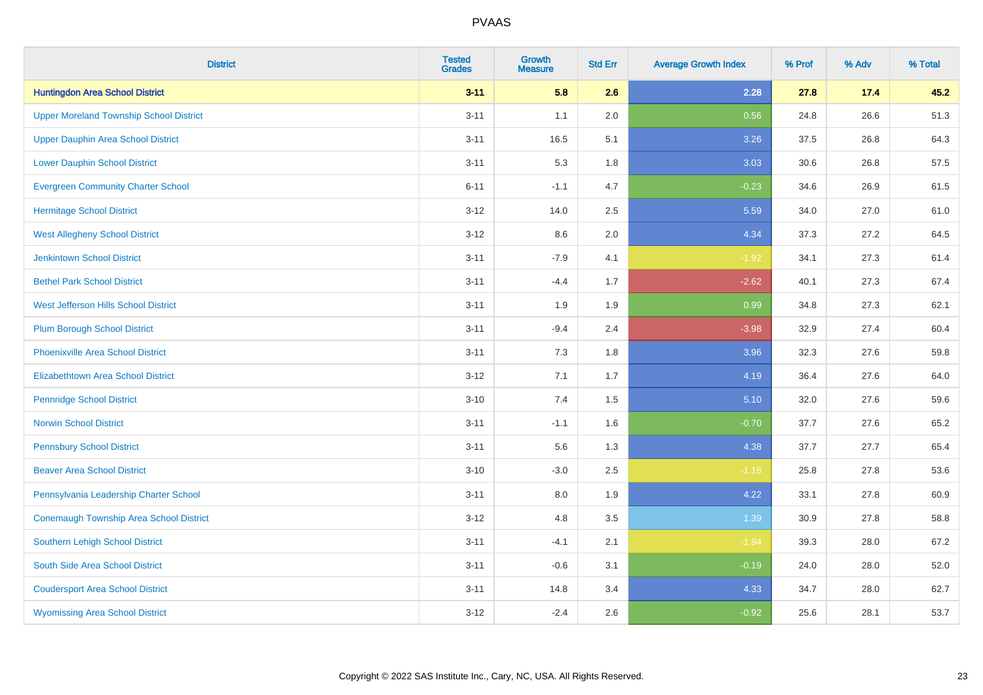| <b>District</b>                                | <b>Tested</b><br><b>Grades</b> | <b>Growth</b><br><b>Measure</b> | <b>Std Err</b> | <b>Average Growth Index</b> | % Prof | % Adv | % Total |
|------------------------------------------------|--------------------------------|---------------------------------|----------------|-----------------------------|--------|-------|---------|
| <b>Huntingdon Area School District</b>         | $3 - 11$                       | 5.8                             | 2.6            | 2.28                        | 27.8   | 17.4  | 45.2    |
| <b>Upper Moreland Township School District</b> | $3 - 11$                       | 1.1                             | 2.0            | 0.56                        | 24.8   | 26.6  | 51.3    |
| <b>Upper Dauphin Area School District</b>      | $3 - 11$                       | 16.5                            | 5.1            | 3.26                        | 37.5   | 26.8  | 64.3    |
| <b>Lower Dauphin School District</b>           | $3 - 11$                       | 5.3                             | 1.8            | 3.03                        | 30.6   | 26.8  | 57.5    |
| <b>Evergreen Community Charter School</b>      | $6 - 11$                       | $-1.1$                          | 4.7            | $-0.23$                     | 34.6   | 26.9  | 61.5    |
| <b>Hermitage School District</b>               | $3 - 12$                       | 14.0                            | 2.5            | 5.59                        | 34.0   | 27.0  | 61.0    |
| <b>West Allegheny School District</b>          | $3 - 12$                       | 8.6                             | 2.0            | 4.34                        | 37.3   | 27.2  | 64.5    |
| <b>Jenkintown School District</b>              | $3 - 11$                       | $-7.9$                          | 4.1            | $-1.92$                     | 34.1   | 27.3  | 61.4    |
| <b>Bethel Park School District</b>             | $3 - 11$                       | $-4.4$                          | 1.7            | $-2.62$                     | 40.1   | 27.3  | 67.4    |
| <b>West Jefferson Hills School District</b>    | $3 - 11$                       | 1.9                             | 1.9            | 0.99                        | 34.8   | 27.3  | 62.1    |
| <b>Plum Borough School District</b>            | $3 - 11$                       | $-9.4$                          | 2.4            | $-3.98$                     | 32.9   | 27.4  | 60.4    |
| <b>Phoenixville Area School District</b>       | $3 - 11$                       | 7.3                             | 1.8            | 3.96                        | 32.3   | 27.6  | 59.8    |
| Elizabethtown Area School District             | $3 - 12$                       | 7.1                             | 1.7            | 4.19                        | 36.4   | 27.6  | 64.0    |
| <b>Pennridge School District</b>               | $3 - 10$                       | 7.4                             | 1.5            | 5.10                        | 32.0   | 27.6  | 59.6    |
| <b>Norwin School District</b>                  | $3 - 11$                       | $-1.1$                          | 1.6            | $-0.70$                     | 37.7   | 27.6  | 65.2    |
| <b>Pennsbury School District</b>               | $3 - 11$                       | 5.6                             | 1.3            | 4.38                        | 37.7   | 27.7  | 65.4    |
| <b>Beaver Area School District</b>             | $3 - 10$                       | $-3.0$                          | 2.5            | $-1.16$                     | 25.8   | 27.8  | 53.6    |
| Pennsylvania Leadership Charter School         | $3 - 11$                       | 8.0                             | 1.9            | 4.22                        | 33.1   | 27.8  | 60.9    |
| Conemaugh Township Area School District        | $3 - 12$                       | 4.8                             | 3.5            | 1.39                        | 30.9   | 27.8  | 58.8    |
| <b>Southern Lehigh School District</b>         | $3 - 11$                       | $-4.1$                          | 2.1            | $-1.94$                     | 39.3   | 28.0  | 67.2    |
| South Side Area School District                | $3 - 11$                       | $-0.6$                          | 3.1            | $-0.19$                     | 24.0   | 28.0  | 52.0    |
| <b>Coudersport Area School District</b>        | $3 - 11$                       | 14.8                            | 3.4            | 4.33                        | 34.7   | 28.0  | 62.7    |
| <b>Wyomissing Area School District</b>         | $3 - 12$                       | $-2.4$                          | 2.6            | $-0.92$                     | 25.6   | 28.1  | 53.7    |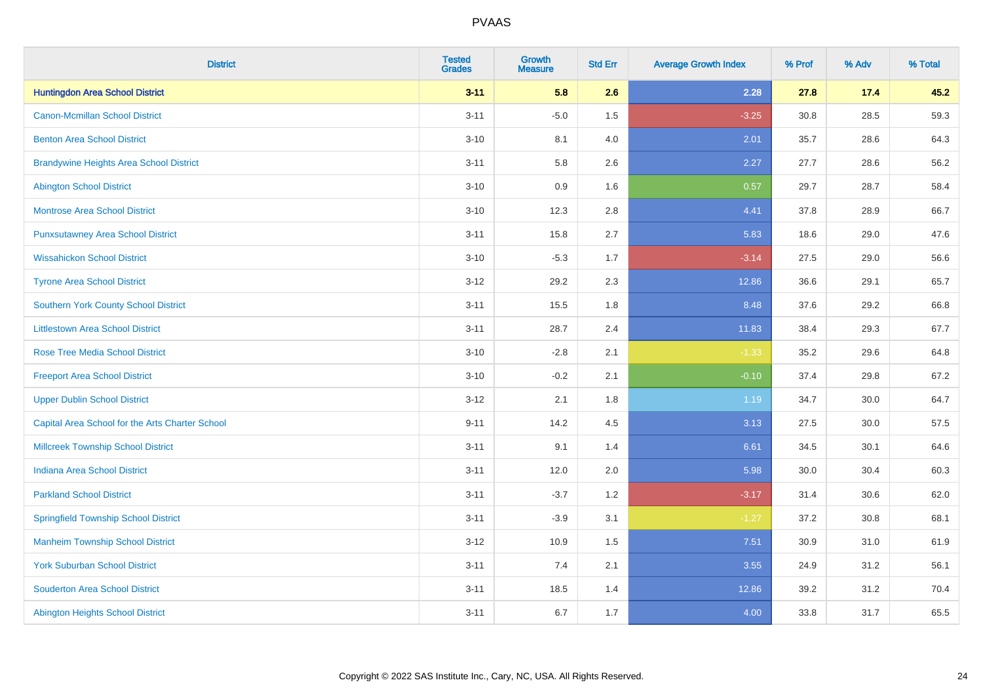| <b>District</b>                                 | <b>Tested</b><br><b>Grades</b> | <b>Growth</b><br><b>Measure</b> | <b>Std Err</b> | <b>Average Growth Index</b> | % Prof | % Adv | % Total |
|-------------------------------------------------|--------------------------------|---------------------------------|----------------|-----------------------------|--------|-------|---------|
| <b>Huntingdon Area School District</b>          | $3 - 11$                       | 5.8                             | 2.6            | 2.28                        | 27.8   | 17.4  | 45.2    |
| <b>Canon-Mcmillan School District</b>           | $3 - 11$                       | $-5.0$                          | 1.5            | $-3.25$                     | 30.8   | 28.5  | 59.3    |
| <b>Benton Area School District</b>              | $3 - 10$                       | 8.1                             | 4.0            | 2.01                        | 35.7   | 28.6  | 64.3    |
| <b>Brandywine Heights Area School District</b>  | $3 - 11$                       | 5.8                             | 2.6            | 2.27                        | 27.7   | 28.6  | 56.2    |
| <b>Abington School District</b>                 | $3 - 10$                       | 0.9                             | 1.6            | 0.57                        | 29.7   | 28.7  | 58.4    |
| <b>Montrose Area School District</b>            | $3 - 10$                       | 12.3                            | 2.8            | 4.41                        | 37.8   | 28.9  | 66.7    |
| <b>Punxsutawney Area School District</b>        | $3 - 11$                       | 15.8                            | 2.7            | 5.83                        | 18.6   | 29.0  | 47.6    |
| <b>Wissahickon School District</b>              | $3 - 10$                       | $-5.3$                          | 1.7            | $-3.14$                     | 27.5   | 29.0  | 56.6    |
| <b>Tyrone Area School District</b>              | $3 - 12$                       | 29.2                            | 2.3            | 12.86                       | 36.6   | 29.1  | 65.7    |
| <b>Southern York County School District</b>     | $3 - 11$                       | 15.5                            | 1.8            | 8.48                        | 37.6   | 29.2  | 66.8    |
| <b>Littlestown Area School District</b>         | $3 - 11$                       | 28.7                            | 2.4            | 11.83                       | 38.4   | 29.3  | 67.7    |
| <b>Rose Tree Media School District</b>          | $3 - 10$                       | $-2.8$                          | 2.1            | $-1.33$                     | 35.2   | 29.6  | 64.8    |
| <b>Freeport Area School District</b>            | $3 - 10$                       | $-0.2$                          | 2.1            | $-0.10$                     | 37.4   | 29.8  | 67.2    |
| <b>Upper Dublin School District</b>             | $3 - 12$                       | 2.1                             | 1.8            | 1.19                        | 34.7   | 30.0  | 64.7    |
| Capital Area School for the Arts Charter School | $9 - 11$                       | 14.2                            | 4.5            | 3.13                        | 27.5   | 30.0  | 57.5    |
| <b>Millcreek Township School District</b>       | $3 - 11$                       | 9.1                             | 1.4            | 6.61                        | 34.5   | 30.1  | 64.6    |
| <b>Indiana Area School District</b>             | $3 - 11$                       | 12.0                            | 2.0            | 5.98                        | 30.0   | 30.4  | 60.3    |
| <b>Parkland School District</b>                 | $3 - 11$                       | $-3.7$                          | 1.2            | $-3.17$                     | 31.4   | 30.6  | 62.0    |
| <b>Springfield Township School District</b>     | $3 - 11$                       | $-3.9$                          | 3.1            | $-1.27$                     | 37.2   | 30.8  | 68.1    |
| <b>Manheim Township School District</b>         | $3 - 12$                       | 10.9                            | 1.5            | 7.51                        | 30.9   | 31.0  | 61.9    |
| <b>York Suburban School District</b>            | $3 - 11$                       | 7.4                             | 2.1            | 3.55                        | 24.9   | 31.2  | 56.1    |
| <b>Souderton Area School District</b>           | $3 - 11$                       | 18.5                            | 1.4            | 12.86                       | 39.2   | 31.2  | 70.4    |
| <b>Abington Heights School District</b>         | $3 - 11$                       | 6.7                             | 1.7            | 4.00                        | 33.8   | 31.7  | 65.5    |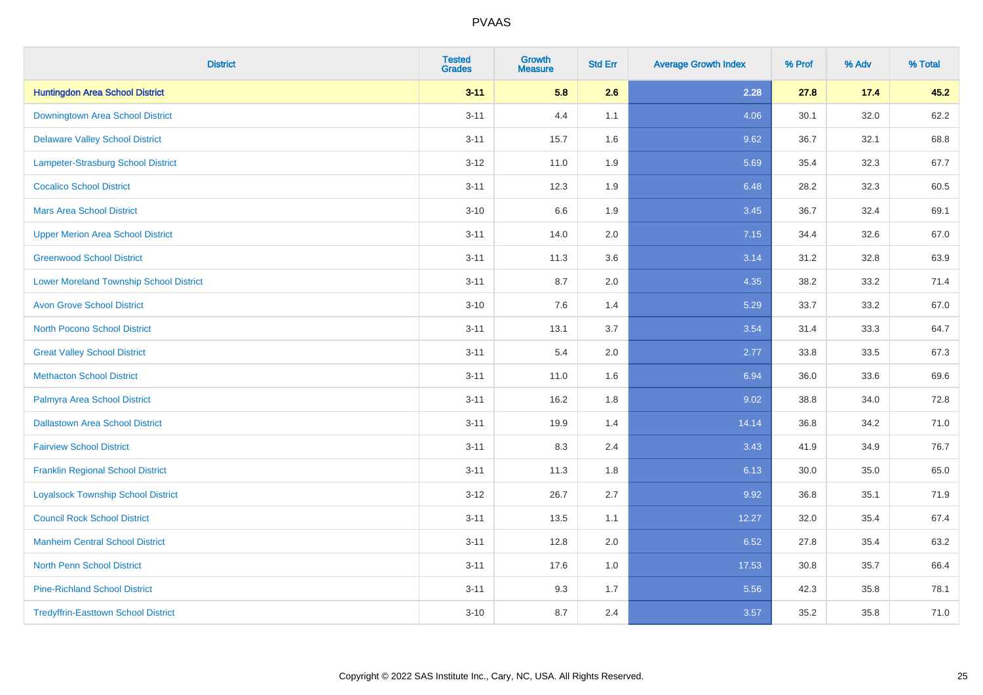| <b>District</b>                                | <b>Tested</b><br><b>Grades</b> | <b>Growth</b><br><b>Measure</b> | <b>Std Err</b> | <b>Average Growth Index</b> | % Prof | % Adv | % Total |
|------------------------------------------------|--------------------------------|---------------------------------|----------------|-----------------------------|--------|-------|---------|
| <b>Huntingdon Area School District</b>         | $3 - 11$                       | 5.8                             | 2.6            | 2.28                        | 27.8   | 17.4  | 45.2    |
| Downingtown Area School District               | $3 - 11$                       | 4.4                             | 1.1            | 4.06                        | 30.1   | 32.0  | 62.2    |
| <b>Delaware Valley School District</b>         | $3 - 11$                       | 15.7                            | 1.6            | 9.62                        | 36.7   | 32.1  | 68.8    |
| Lampeter-Strasburg School District             | $3 - 12$                       | 11.0                            | 1.9            | 5.69                        | 35.4   | 32.3  | 67.7    |
| <b>Cocalico School District</b>                | $3 - 11$                       | 12.3                            | 1.9            | 6.48                        | 28.2   | 32.3  | 60.5    |
| <b>Mars Area School District</b>               | $3 - 10$                       | 6.6                             | 1.9            | 3.45                        | 36.7   | 32.4  | 69.1    |
| <b>Upper Merion Area School District</b>       | $3 - 11$                       | 14.0                            | 2.0            | 7.15                        | 34.4   | 32.6  | 67.0    |
| <b>Greenwood School District</b>               | $3 - 11$                       | 11.3                            | 3.6            | 3.14                        | 31.2   | 32.8  | 63.9    |
| <b>Lower Moreland Township School District</b> | $3 - 11$                       | 8.7                             | 2.0            | 4.35                        | 38.2   | 33.2  | 71.4    |
| <b>Avon Grove School District</b>              | $3 - 10$                       | 7.6                             | 1.4            | 5.29                        | 33.7   | 33.2  | 67.0    |
| <b>North Pocono School District</b>            | $3 - 11$                       | 13.1                            | 3.7            | 3.54                        | 31.4   | 33.3  | 64.7    |
| <b>Great Valley School District</b>            | $3 - 11$                       | 5.4                             | 2.0            | 2.77                        | 33.8   | 33.5  | 67.3    |
| <b>Methacton School District</b>               | $3 - 11$                       | 11.0                            | 1.6            | 6.94                        | 36.0   | 33.6  | 69.6    |
| Palmyra Area School District                   | $3 - 11$                       | 16.2                            | 1.8            | 9.02                        | 38.8   | 34.0  | 72.8    |
| <b>Dallastown Area School District</b>         | $3 - 11$                       | 19.9                            | 1.4            | 14.14                       | 36.8   | 34.2  | 71.0    |
| <b>Fairview School District</b>                | $3 - 11$                       | 8.3                             | 2.4            | 3.43                        | 41.9   | 34.9  | 76.7    |
| <b>Franklin Regional School District</b>       | $3 - 11$                       | 11.3                            | 1.8            | 6.13                        | 30.0   | 35.0  | 65.0    |
| <b>Loyalsock Township School District</b>      | $3 - 12$                       | 26.7                            | 2.7            | 9.92                        | 36.8   | 35.1  | 71.9    |
| <b>Council Rock School District</b>            | $3 - 11$                       | 13.5                            | 1.1            | 12.27                       | 32.0   | 35.4  | 67.4    |
| <b>Manheim Central School District</b>         | $3 - 11$                       | 12.8                            | 2.0            | 6.52                        | 27.8   | 35.4  | 63.2    |
| <b>North Penn School District</b>              | $3 - 11$                       | 17.6                            | 1.0            | 17.53                       | 30.8   | 35.7  | 66.4    |
| <b>Pine-Richland School District</b>           | $3 - 11$                       | 9.3                             | 1.7            | 5.56                        | 42.3   | 35.8  | 78.1    |
| <b>Tredyffrin-Easttown School District</b>     | $3 - 10$                       | 8.7                             | 2.4            | 3.57                        | 35.2   | 35.8  | 71.0    |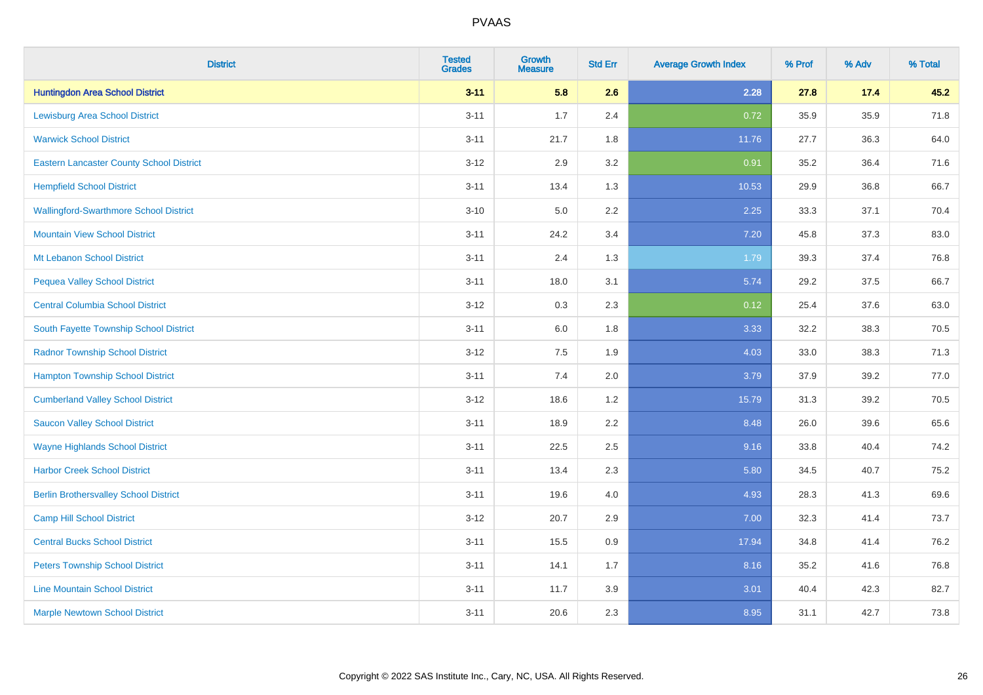| <b>District</b>                                 | <b>Tested</b><br><b>Grades</b> | <b>Growth</b><br><b>Measure</b> | <b>Std Err</b> | <b>Average Growth Index</b> | % Prof | % Adv | % Total |
|-------------------------------------------------|--------------------------------|---------------------------------|----------------|-----------------------------|--------|-------|---------|
| <b>Huntingdon Area School District</b>          | $3 - 11$                       | 5.8                             | 2.6            | 2.28                        | 27.8   | 17.4  | 45.2    |
| <b>Lewisburg Area School District</b>           | $3 - 11$                       | 1.7                             | 2.4            | 0.72                        | 35.9   | 35.9  | 71.8    |
| <b>Warwick School District</b>                  | $3 - 11$                       | 21.7                            | 1.8            | 11.76                       | 27.7   | 36.3  | 64.0    |
| <b>Eastern Lancaster County School District</b> | $3 - 12$                       | 2.9                             | 3.2            | 0.91                        | 35.2   | 36.4  | 71.6    |
| <b>Hempfield School District</b>                | $3 - 11$                       | 13.4                            | 1.3            | 10.53                       | 29.9   | 36.8  | 66.7    |
| <b>Wallingford-Swarthmore School District</b>   | $3 - 10$                       | 5.0                             | 2.2            | 2.25                        | 33.3   | 37.1  | 70.4    |
| <b>Mountain View School District</b>            | $3 - 11$                       | 24.2                            | 3.4            | $7.20$                      | 45.8   | 37.3  | 83.0    |
| Mt Lebanon School District                      | $3 - 11$                       | 2.4                             | 1.3            | 1.79                        | 39.3   | 37.4  | 76.8    |
| <b>Pequea Valley School District</b>            | $3 - 11$                       | 18.0                            | 3.1            | 5.74                        | 29.2   | 37.5  | 66.7    |
| <b>Central Columbia School District</b>         | $3 - 12$                       | 0.3                             | 2.3            | 0.12                        | 25.4   | 37.6  | 63.0    |
| South Fayette Township School District          | $3 - 11$                       | 6.0                             | 1.8            | 3.33                        | 32.2   | 38.3  | 70.5    |
| <b>Radnor Township School District</b>          | $3 - 12$                       | 7.5                             | 1.9            | 4.03                        | 33.0   | 38.3  | 71.3    |
| <b>Hampton Township School District</b>         | $3 - 11$                       | 7.4                             | 2.0            | 3.79                        | 37.9   | 39.2  | 77.0    |
| <b>Cumberland Valley School District</b>        | $3 - 12$                       | 18.6                            | 1.2            | 15.79                       | 31.3   | 39.2  | 70.5    |
| <b>Saucon Valley School District</b>            | $3 - 11$                       | 18.9                            | 2.2            | 8.48                        | 26.0   | 39.6  | 65.6    |
| <b>Wayne Highlands School District</b>          | $3 - 11$                       | 22.5                            | 2.5            | 9.16                        | 33.8   | 40.4  | 74.2    |
| <b>Harbor Creek School District</b>             | $3 - 11$                       | 13.4                            | 2.3            | 5.80                        | 34.5   | 40.7  | 75.2    |
| <b>Berlin Brothersvalley School District</b>    | $3 - 11$                       | 19.6                            | 4.0            | 4.93                        | 28.3   | 41.3  | 69.6    |
| <b>Camp Hill School District</b>                | $3 - 12$                       | 20.7                            | 2.9            | 7.00                        | 32.3   | 41.4  | 73.7    |
| <b>Central Bucks School District</b>            | $3 - 11$                       | 15.5                            | 0.9            | 17.94                       | 34.8   | 41.4  | 76.2    |
| <b>Peters Township School District</b>          | $3 - 11$                       | 14.1                            | 1.7            | 8.16                        | 35.2   | 41.6  | 76.8    |
| <b>Line Mountain School District</b>            | $3 - 11$                       | 11.7                            | 3.9            | 3.01                        | 40.4   | 42.3  | 82.7    |
| <b>Marple Newtown School District</b>           | $3 - 11$                       | 20.6                            | 2.3            | 8.95                        | 31.1   | 42.7  | 73.8    |